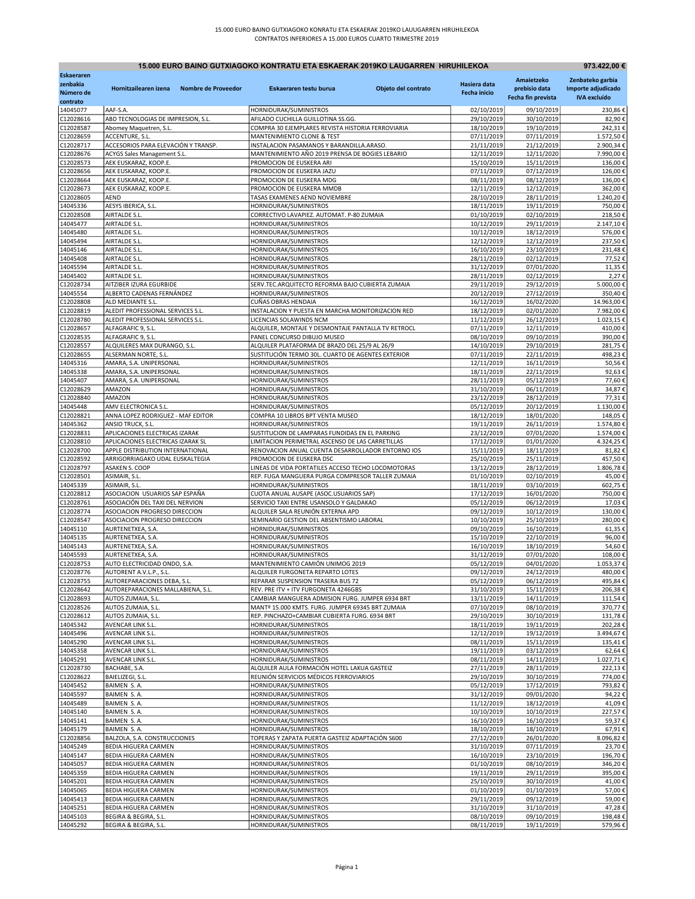|                        | 15.000 EURO BAINO GUTXIAGOKO KONTRATU ETA ESKAERAK 2019KO LAUGARREN HIRUHILEKOA<br>973.422.00 € |                     |                                                                                                    |                     |                          |                          |                        |  |
|------------------------|-------------------------------------------------------------------------------------------------|---------------------|----------------------------------------------------------------------------------------------------|---------------------|--------------------------|--------------------------|------------------------|--|
| <b>Eskaeraren</b>      |                                                                                                 |                     |                                                                                                    |                     |                          | Amaietzeko               | Zenbateko garbia       |  |
| zenbakia               | Hornitzailearen izena                                                                           | Nombre de Proveedor | Eskaeraren testu burua                                                                             | Objeto del contrato | Hasiera data             | prebisio data            | Importe adjudicado     |  |
| Número de<br>contrato  |                                                                                                 |                     |                                                                                                    |                     | Fecha inicio             | Fecha fin prevista       | <b>IVA</b> excluído    |  |
| 14045077               | AAF-S.A.                                                                                        |                     | HORNIDURAK/SUMINISTROS                                                                             |                     | 02/10/2019               | 09/10/2019               | 230,86€                |  |
| C12028616              | ABD TECNOLOGIAS DE IMPRESION, S.L.                                                              |                     | AFILADO CUCHILLA GUILLOTINA SS.GG.                                                                 |                     | 29/10/2019               | 30/10/2019               | 82,90€                 |  |
| C12028587              | Abomey Maquetren, S.L.                                                                          |                     | COMPRA 30 EJEMPLARES REVISTA HISTORIA FERROVIARIA                                                  |                     | 18/10/2019               | 19/10/2019               | 242,31€                |  |
| C12028659              | ACCENTURE, S.L.                                                                                 |                     | MANTENIMIENTO CLONE & TEST                                                                         |                     | 07/11/2019               | 07/11/2019               | 1.572,50€              |  |
| C12028717<br>C12028676 | ACCESORIOS PARA ELEVACIÓN Y TRANSP.<br>ACYGS Sales Management S.L.                              |                     | INSTALACION PASAMANOS Y BARANDILLA.ARASO.<br>MANTENIMIENTO AÑO 2019 PRENSA DE BOGIES LEBARIO       |                     | 21/11/2019<br>12/11/2019 | 21/12/2019<br>12/11/2020 | 2.900,34€<br>7.990,00€ |  |
| C12028573              | AEK EUSKARAZ, KOOP.E.                                                                           |                     | PROMOCION DE EUSKERA ARI                                                                           |                     | 15/10/2019               | 15/11/2019               | 136,00€                |  |
| C12028656              | AEK EUSKARAZ, KOOP.E.                                                                           |                     | PROMOCION DE EUSKERA JAZU                                                                          |                     | 07/11/2019               | 07/12/2019               | 126,00€                |  |
| C12028664              | AEK EUSKARAZ, KOOP.E.                                                                           |                     | PROMOCION DE EUSKERA MDG                                                                           |                     | 08/11/2019               | 08/12/2019               | 136,00€                |  |
| C12028673              | AEK EUSKARAZ, KOOP.E.                                                                           |                     | PROMOCION DE EUSKERA MMDB                                                                          |                     | 12/11/2019               | 12/12/2019               | 362,00€                |  |
| C12028605              | <b>AEND</b>                                                                                     |                     | TASAS EXAMENES AEND NOVIEMBRE                                                                      |                     | 28/10/2019               | 28/11/2019               | 1.240,20€<br>750,00€   |  |
| 14045336<br>C12028508  | AESYS IBERICA, S.L.<br>AIRTALDE S.L.                                                            |                     | HORNIDURAK/SUMINISTROS<br>CORRECTIVO LAVAPIEZ. AUTOMAT. P-80 ZUMAIA                                |                     | 18/11/2019<br>01/10/2019 | 19/11/2019<br>02/10/2019 | 218,50€                |  |
| 14045477               | AIRTALDE S.L                                                                                    |                     | HORNIDURAK/SUMINISTROS                                                                             |                     | 10/12/2019               | 29/11/2019               | 2.147,10€              |  |
| 14045480               | AIRTALDE S.L.                                                                                   |                     | HORNIDURAK/SUMINISTROS                                                                             |                     | 10/12/2019               | 18/12/2019               | 576,00€                |  |
| 14045494               | AIRTALDE S.L.                                                                                   |                     | HORNIDURAK/SUMINISTROS                                                                             |                     | 12/12/2019               | 12/12/2019               | 237,50€                |  |
| 14045146               | AIRTALDE S.L.                                                                                   |                     | HORNIDURAK/SUMINISTROS                                                                             |                     | 16/10/2019               | 23/10/2019               | 231,48€                |  |
| 14045408<br>14045594   | AIRTALDE S.L<br>AIRTALDE S.L                                                                    |                     | HORNIDURAK/SUMINISTROS<br>HORNIDURAK/SUMINISTROS                                                   |                     | 28/11/2019<br>31/12/2019 | 02/12/2019<br>07/01/2020 | 77,52€<br>11,35€       |  |
| 14045402               | AIRTALDE S.L.                                                                                   |                     | HORNIDURAK/SUMINISTROS                                                                             |                     | 28/11/2019               | 02/12/2019               | 2,27€                  |  |
| C12028734              | AITZIBER IZURA EGURBIDE                                                                         |                     | SERV.TEC.ARQUITECTO REFORMA BAJO CUBIERTA ZUMAIA                                                   |                     | 29/11/2019               | 29/12/2019               | 5.000,00€              |  |
| 14045554               | ALBERTO CADENAS FERNÁNDEZ                                                                       |                     | HORNIDURAK/SUMINISTROS                                                                             |                     | 20/12/2019               | 27/12/2019               | 350,40€                |  |
| C12028808              | ALD MEDIANTE S.L.                                                                               |                     | <b>CUÑAS OBRAS HENDAIA</b>                                                                         |                     | 16/12/2019               | 16/02/2020               | 14.963,00€             |  |
| C12028819              | ALEDIT PROFESSIONAL SERVICES S.L                                                                |                     | INSTALACION Y PUESTA EN MARCHA MONITORIZACION RED                                                  |                     | 18/12/2019               | 02/01/2020               | 7.982,00€              |  |
| C12028780<br>C12028657 | ALEDIT PROFESSIONAL SERVICES S.L<br>ALFAGRAFIC 9, S.L.                                          |                     | LICENCIAS SOLAWINDS NCM<br>ALQUILER, MONTAJE Y DESMONTAJE PANTALLA TV RETROCL                      |                     | 11/12/2019<br>07/11/2019 | 26/12/2019<br>12/11/2019 | 1.023,15€<br>410,00€   |  |
| C12028535              | ALFAGRAFIC 9, S.L                                                                               |                     | PANEL CONCURSO DIBUJO MUSEO                                                                        |                     | 08/10/2019               | 09/10/2019               | 390,00€                |  |
| C12028557              | ALQUILERES MAX DURANGO, S.L.                                                                    |                     | ALQUILER PLATAFORMA DE BRAZO DEL 25/9 AL 26/9                                                      |                     | 14/10/2019               | 29/10/2019               | 281,75€                |  |
| C12028655              | ALSERMAN NORTE, S.L.                                                                            |                     | SUSTITUCIÓN TERMO 30L. CUARTO DE AGENTES EXTERIOR                                                  |                     | 07/11/2019               | 22/11/2019               | 498,23€                |  |
| 14045316               | AMARA, S.A. UNIPERSONAL                                                                         |                     | HORNIDURAK/SUMINISTROS                                                                             |                     | 12/11/2019               | 16/11/2019               | 50,56€                 |  |
| 14045338               | AMARA, S.A. UNIPERSONAL<br>AMARA, S.A. UNIPERSONAL                                              |                     | HORNIDURAK/SUMINISTROS                                                                             |                     | 18/11/2019               | 22/11/2019               | 92,63€                 |  |
| 14045407<br>C12028629  | AMAZON                                                                                          |                     | HORNIDURAK/SUMINISTROS<br>HORNIDURAK/SUMINISTROS                                                   |                     | 28/11/2019<br>31/10/2019 | 05/12/2019<br>06/11/2019 | 77,60€<br>34,87€       |  |
| C12028840              | AMAZON                                                                                          |                     | HORNIDURAK/SUMINISTROS                                                                             |                     | 23/12/2019               | 28/12/2019               | 77,31€                 |  |
| 14045448               | AMV ELECTRONICA S.L                                                                             |                     | HORNIDURAK/SUMINISTROS                                                                             |                     | 05/12/2019               | 20/12/2019               | 1.130,00€              |  |
| C12028821              | ANNA LOPEZ RODRIGUEZ - MAF EDITOR                                                               |                     | COMPRA 10 LIBROS BPT VENTA MUSEO                                                                   |                     | 18/12/2019               | 18/01/2020               | 148,05€                |  |
| 14045362               | ANSIO TRUCK, S.L.                                                                               |                     | HORNIDURAK/SUMINISTROS                                                                             |                     | 19/11/2019               | 26/11/2019               | 1.574,80€              |  |
| C12028831<br>C12028810 | APLICACIONES ELECTRICAS IZARAK<br>APLICACIONES ELECTRICAS IZARAK SL                             |                     | SUSTITUCION DE LAMPARAS FUNDIDAS EN EL PARKING<br>LIMITACION PERIMETRAL ASCENSO DE LAS CARRETILLAS |                     | 23/12/2019<br>17/12/2019 | 07/01/2020<br>01/01/2020 | 1.574,00€<br>4.324,25€ |  |
| C12028700              | APPLE DISTRIBUTION INTERNATIONAL                                                                |                     | RENOVACION ANUAL CUENTA DESARROLLADOR ENTORNO IOS                                                  |                     | 15/11/2019               | 18/11/2019               | 81,82€                 |  |
| C12028592              | ARRIGORRIAGAKO UDAL EUSKALTEGIA                                                                 |                     | PROMOCION DE EUSKERA DSC                                                                           |                     | 25/10/2019               | 25/11/2019               | 457,50€                |  |
| C12028797              | ASAKEN S. COOP                                                                                  |                     | LINEAS DE VIDA PORTATILES ACCESO TECHO LOCOMOTORAS                                                 |                     | 13/12/2019               | 28/12/2019               | 1.806,78€              |  |
| C12028501              | ASIMAIR, S.L.                                                                                   |                     | REP. FUGA MANGUERA PURGA COMPRESOR TALLER ZUMAIA                                                   |                     | 01/10/2019               | 02/10/2019               | 45,00€                 |  |
| 14045339               | ASIMAIR, S.L.                                                                                   |                     | HORNIDURAK/SUMINISTROS                                                                             |                     | 18/11/2019               | 03/10/2019               | 602,75€                |  |
| C12028812<br>C12028761 | ASOCIACION USUARIOS SAP ESPAÑA<br>ASOCIACIÓN DEL TAXI DEL NERVION                               |                     | CUOTA ANUAL AUSAPE (ASOC.USUARIOS SAP)<br>SERVICIO TAXI ENTRE USANSOLO Y GALDAKAO                  |                     | 17/12/2019<br>05/12/2019 | 16/01/2020<br>06/12/2019 | 750,00€<br>17,03€      |  |
| C12028774              | ASOCIACION PROGRESO DIRECCION                                                                   |                     | ALQUILER SALA REUNIÓN EXTERNA APD                                                                  |                     | 09/12/2019               | 10/12/2019               | 130,00€                |  |
| C12028547              | ASOCIACION PROGRESO DIRECCION                                                                   |                     | SEMINARIO GESTION DEL ABSENTISMO LABORAL                                                           |                     | 10/10/2019               | 25/10/2019               | 280,00€                |  |
| 14045110               | AURTENETXEA, S.A.                                                                               |                     | HORNIDURAK/SUMINISTROS                                                                             |                     | 09/10/2019               | 16/10/2019               | 61,35€                 |  |
| 14045135               | AURTENETXEA, S.A.                                                                               |                     | HORNIDURAK/SUMINISTROS                                                                             |                     | 15/10/2019               | 22/10/2019               | 96,00€                 |  |
| 14045143<br>14045593   | AURTENETXEA, S.A.<br>AURTENETXEA, S.A.                                                          |                     | HORNIDURAK/SUMINISTROS<br>HORNIDURAK/SUMINISTROS                                                   |                     | 16/10/2019<br>31/12/2019 | 18/10/2019<br>07/01/2020 | 54,60€<br>108,00€      |  |
| C12028753              | AUTO ELECTRICIDAD ONDO, S.A.                                                                    |                     | MANTENIMIENTO CAMIÓN UNIMOG 2019                                                                   |                     | 05/12/2019               | 04/01/2020               | 1.053,37€              |  |
| C12028776              | AUTORENT A.V.L.P., S.L.                                                                         |                     | ALQUILER FURGONETA REPARTO LOTES                                                                   |                     | 09/12/2019               | 24/12/2019               | 480,00€                |  |
| C12028755              | AUTOREPARACIONES DEBA, S.L.                                                                     |                     | REPARAR SUSPENSION TRASERA BUS 72                                                                  |                     | 05/12/2019               | 06/12/2019               | 495,84€                |  |
| C12028642              | AUTOREPARACIONES MALLABIENA, S.L.                                                               |                     | REV. PRE ITV + ITV FURGONETA 4246GBS                                                               |                     | 31/10/2019               | 15/11/2019               | 206,38€                |  |
| C12028693              | AUTOS ZUMAIA, S.L.                                                                              |                     | CAMBIAR MANGUERA ADMISION FURG. JUMPER 6934 BRT                                                    |                     | 13/11/2019               | 14/11/2019               | 111,54€                |  |
| C12028526<br>C12028612 | AUTOS ZUMAIA, S.L.<br>AUTOS ZUMAIA, S.L.                                                        |                     | MANTº 15.000 KMTS. FURG. JUMPER 69345 BRT ZUMAIA<br>REP. PINCHAZO+CAMBIAR CUBIERTA FURG. 6934 BRT  |                     | 07/10/2019<br>29/10/2019 | 08/10/2019<br>30/10/2019 | 370,77€<br>131,78€     |  |
| 14045342               | AVENCAR LINK S.L.                                                                               |                     | HORNIDURAK/SUMINISTROS                                                                             |                     | 18/11/2019               | 19/11/2019               | 202,28€                |  |
| 14045496               | AVENCAR LINK S.L.                                                                               |                     | HORNIDURAK/SUMINISTROS                                                                             |                     | 12/12/2019               | 19/12/2019               | 3.494,67€              |  |
| 14045290               | AVENCAR LINK S.L.                                                                               |                     | HORNIDURAK/SUMINISTROS                                                                             |                     | 08/11/2019               | 15/11/2019               | 135,41€                |  |
| 14045358               | AVENCAR LINK S.L.                                                                               |                     | HORNIDURAK/SUMINISTROS                                                                             |                     | 19/11/2019               | 03/12/2019               | 62,64€                 |  |
| 14045291<br>C12028730  | AVENCAR LINK S.L.<br>BACHABE, S.A.                                                              |                     | HORNIDURAK/SUMINISTROS<br>ALQUILER AULA FORMACIÓN HOTEL LAKUA GASTEIZ                              |                     | 08/11/2019<br>27/11/2019 | 14/11/2019<br>28/11/2019 | 1.027,71€<br>222,13€   |  |
| C12028622              | BAIELIZEGI, S.L.                                                                                |                     | REUNIÓN SERVICIOS MÉDICOS FERROVIARIOS                                                             |                     | 29/10/2019               | 30/10/2019               | 774,00€                |  |
| 14045452               | BAIMEN S.A.                                                                                     |                     | HORNIDURAK/SUMINISTROS                                                                             |                     | 05/12/2019               | 17/12/2019               | 793,82€                |  |
| 14045597               | BAIMEN S.A.                                                                                     |                     | HORNIDURAK/SUMINISTROS                                                                             |                     | 31/12/2019               | 09/01/2020               | 94,22€                 |  |
| 14045489               | BAIMEN S.A.                                                                                     |                     | HORNIDURAK/SUMINISTROS                                                                             |                     | 11/12/2019               | 18/12/2019               | 41,09€                 |  |
| 14045140               | BAIMEN S.A.                                                                                     |                     | HORNIDURAK/SUMINISTROS                                                                             |                     | 10/10/2019               | 10/10/2019               | 227,57€                |  |
| 14045141<br>14045179   | BAIMEN S.A.<br>BAIMEN S.A.                                                                      |                     | HORNIDURAK/SUMINISTROS<br>HORNIDURAK/SUMINISTROS                                                   |                     | 16/10/2019<br>18/10/2019 | 16/10/2019<br>18/10/2019 | 59,37€<br>67,91€       |  |
| C12028856              | BALZOLA, S.A. CONSTRUCCIONES                                                                    |                     | TOPERAS Y ZAPATA PUERTA GASTEIZ ADAPTACIÓN S600                                                    |                     | 27/12/2019               | 26/01/2020               | 8.096,82€              |  |
| 14045249               | BEDIA HIGUERA CARMEN                                                                            |                     | HORNIDURAK/SUMINISTROS                                                                             |                     | 31/10/2019               | 07/11/2019               | 23,70€                 |  |
| 14045147               | <b>BEDIA HIGUERA CARMEN</b>                                                                     |                     | HORNIDURAK/SUMINISTROS                                                                             |                     | 16/10/2019               | 23/10/2019               | 196,70€                |  |
| 14045057               | <b>BEDIA HIGUERA CARMEN</b>                                                                     |                     | HORNIDURAK/SUMINISTROS                                                                             |                     | 01/10/2019               | 08/10/2019               | 346,20€                |  |
| 14045359               | <b>BEDIA HIGUERA CARMEN</b>                                                                     |                     | HORNIDURAK/SUMINISTROS                                                                             |                     | 19/11/2019               | 29/11/2019               | 395,00€                |  |
| 14045201<br>14045065   | BEDIA HIGUERA CARMEN<br>BEDIA HIGUERA CARMEN                                                    |                     | HORNIDURAK/SUMINISTROS<br>HORNIDURAK/SUMINISTROS                                                   |                     | 25/10/2019<br>01/10/2019 | 30/10/2019<br>01/10/2019 | 41,00€<br>57,00€       |  |
| 14045413               | BEDIA HIGUERA CARMEN                                                                            |                     | HORNIDURAK/SUMINISTROS                                                                             |                     | 29/11/2019               | 09/12/2019               | 59,00€                 |  |
| 14045251               | BEDIA HIGUERA CARMEN                                                                            |                     | HORNIDURAK/SUMINISTROS                                                                             |                     | 31/10/2019               | 31/10/2019               | 47,28€                 |  |
| 14045103               | BEGIRA & BEGIRA, S.L.                                                                           |                     | HORNIDURAK/SUMINISTROS                                                                             |                     | 08/10/2019               | 09/10/2019               | 198,48€                |  |
| 14045292               | BEGIRA & BEGIRA, S.L.                                                                           |                     | HORNIDURAK/SUMINISTROS                                                                             |                     | 08/11/2019               | 19/11/2019               | 579,96€                |  |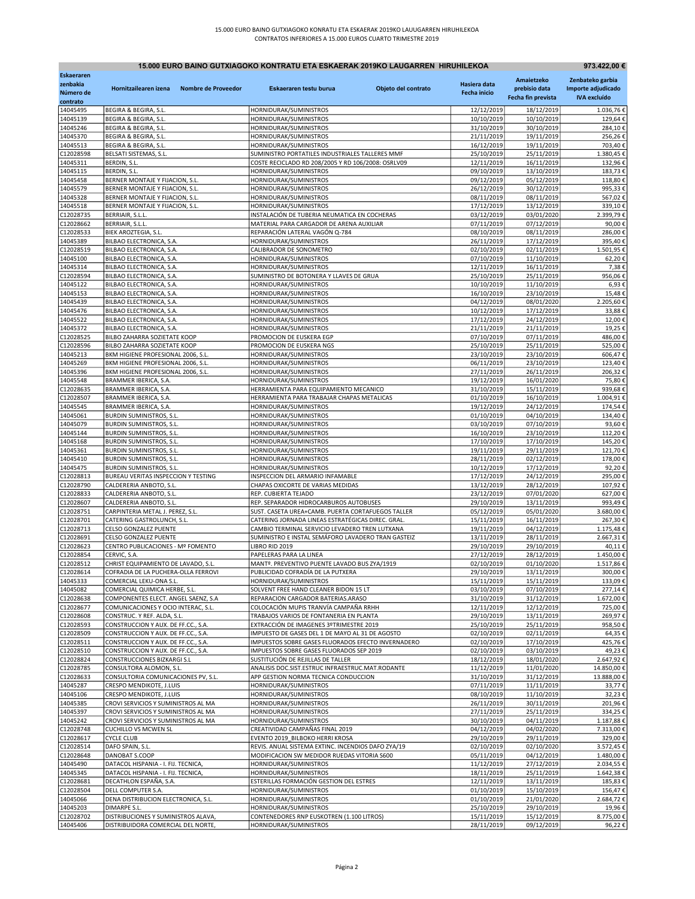| 15.000 EURO BAINO GUTXIAGOKO KONTRATU ETA ESKAERAK 2019KO LAUGARREN HIRUHILEKOA<br>973.422,00 € |                                                                            |                     |                                                                                                       |                     |                          |                          |                        |
|-------------------------------------------------------------------------------------------------|----------------------------------------------------------------------------|---------------------|-------------------------------------------------------------------------------------------------------|---------------------|--------------------------|--------------------------|------------------------|
| Eskaeraren                                                                                      |                                                                            |                     |                                                                                                       |                     |                          | Amaietzeko               | Zenbateko garbia       |
| zenbakia                                                                                        | Hornitzailearen izena                                                      | Nombre de Proveedor | Eskaeraren testu burua                                                                                | Objeto del contrato | Hasiera data             | prebisio data            | Importe adjudicado     |
| Número de<br>contrato                                                                           |                                                                            |                     |                                                                                                       |                     | <b>Fecha inicio</b>      | Fecha fin prevista       | <b>IVA</b> excluído    |
| 14045495                                                                                        | BEGIRA & BEGIRA, S.L.                                                      |                     | HORNIDURAK/SUMINISTROS                                                                                |                     | 12/12/2019               | 18/12/2019               | 1.036,76€              |
| 14045139                                                                                        | BEGIRA & BEGIRA, S.L.                                                      |                     | HORNIDURAK/SUMINISTROS                                                                                |                     | 10/10/2019               | 10/10/2019               | 129,64€                |
| 14045246                                                                                        | BEGIRA & BEGIRA, S.L.                                                      |                     | HORNIDURAK/SUMINISTROS                                                                                |                     | 31/10/2019               | 30/10/2019               | 284,10€                |
| 14045370                                                                                        | BEGIRA & BEGIRA, S.L.                                                      |                     | HORNIDURAK/SUMINISTROS                                                                                |                     | 21/11/2019               | 19/11/2019               | 256,26€                |
| 14045513                                                                                        | BEGIRA & BEGIRA, S.L.                                                      |                     | HORNIDURAK/SUMINISTROS                                                                                |                     | 16/12/2019               | 19/11/2019               | 703,40€                |
| C12028598<br>14045311                                                                           | BELSATI SISTEMAS, S.L.<br>BERDIN, S.L.                                     |                     | SUMINISTRO PORTATILES INDUSTRIALES TALLERES MMF<br>COSTE RECICLADO RD 208/2005 Y RD 106/2008: OSRLV09 |                     | 25/10/2019<br>12/11/2019 | 25/11/2019<br>16/11/2019 | 1.380,45€<br>132,96€   |
| 14045115                                                                                        | BERDIN, S.L.                                                               |                     | HORNIDURAK/SUMINISTROS                                                                                |                     | 09/10/2019               | 13/10/2019               | 183,73€                |
| 14045458                                                                                        | BERNER MONTAJE Y FIJACION, S.L.                                            |                     | HORNIDURAK/SUMINISTROS                                                                                |                     | 09/12/2019               | 05/12/2019               | 118,80€                |
| 14045579                                                                                        | BERNER MONTAJE Y FIJACION, S.L.                                            |                     | HORNIDURAK/SUMINISTROS                                                                                |                     | 26/12/2019               | 30/12/2019               | 995,33€                |
| 14045328                                                                                        | BERNER MONTAJE Y FIJACION, S.L.                                            |                     | HORNIDURAK/SUMINISTROS                                                                                |                     | 08/11/2019               | 08/11/2019               | 567,02€                |
| 14045518                                                                                        | BERNER MONTAJE Y FIJACION, S.L.                                            |                     | HORNIDURAK/SUMINISTROS                                                                                |                     | 17/12/2019               | 13/12/2019               | 339,10€                |
| C12028735                                                                                       | BERRIAIR, S.L.L.                                                           |                     | INSTALACIÓN DE TUBERIA NEUMATICA EN COCHERAS                                                          |                     | 03/12/2019               | 03/01/2020               | 2.399,79€              |
| C12028662                                                                                       | BERRIAIR, S.L.L.                                                           |                     | MATERIAL PARA CARGADOR DE ARENA AUXILIAR                                                              |                     | 07/11/2019               | 07/12/2019               | 90,00€                 |
| C12028533<br>14045389                                                                           | BIEK AROZTEGIA, S.L.<br>BILBAO ELECTRONICA, S.A.                           |                     | REPARACIÓN LATERAL VAGÓN Q-784<br>HORNIDURAK/SUMINISTROS                                              |                     | 08/10/2019<br>26/11/2019 | 08/11/2019<br>17/12/2019 | 286,00€<br>395,40€     |
| C12028519                                                                                       | BILBAO ELECTRONICA, S.A.                                                   |                     | CALIBRADOR DE SONOMETRO                                                                               |                     | 02/10/2019               | 02/11/2019               | 1.501,95€              |
| 14045100                                                                                        | BILBAO ELECTRONICA, S.A.                                                   |                     | HORNIDURAK/SUMINISTROS                                                                                |                     | 07/10/2019               | 11/10/2019               | 62,20€                 |
| 14045314                                                                                        | BILBAO ELECTRONICA, S.A.                                                   |                     | HORNIDURAK/SUMINISTROS                                                                                |                     | 12/11/2019               | 16/11/2019               | 7,38€                  |
| C12028594                                                                                       | BILBAO ELECTRONICA, S.A.                                                   |                     | SUMINISTRO DE BOTONERA Y LLAVES DE GRUA                                                               |                     | 25/10/2019               | 25/11/2019               | 956,06€                |
| 14045122                                                                                        | BILBAO ELECTRONICA, S.A.                                                   |                     | HORNIDURAK/SUMINISTROS                                                                                |                     | 10/10/2019               | 11/10/2019               | 6,93€                  |
| 14045153                                                                                        | BILBAO ELECTRONICA, S.A.                                                   |                     | HORNIDURAK/SUMINISTROS                                                                                |                     | 16/10/2019               | 23/10/2019               | 15,48€                 |
| 14045439                                                                                        | BILBAO ELECTRONICA, S.A.                                                   |                     | HORNIDURAK/SUMINISTROS                                                                                |                     | 04/12/2019               | 08/01/2020               | 2.205,60€              |
| 14045476<br>14045522                                                                            | BILBAO ELECTRONICA, S.A.<br>BILBAO ELECTRONICA, S.A.                       |                     | HORNIDURAK/SUMINISTROS<br>HORNIDURAK/SUMINISTROS                                                      |                     | 10/12/2019<br>17/12/2019 | 17/12/2019<br>24/12/2019 | 33,88€<br>12,00€       |
| 14045372                                                                                        | BILBAO ELECTRONICA, S.A.                                                   |                     | HORNIDURAK/SUMINISTROS                                                                                |                     | 21/11/2019               | 21/11/2019               | 19,25€                 |
| C12028525                                                                                       | BILBO ZAHARRA SOZIETATE KOOP                                               |                     | PROMOCION DE EUSKERA EGP                                                                              |                     | 07/10/2019               | 07/11/2019               | 486,00€                |
| C12028596                                                                                       | BILBO ZAHARRA SOZIETATE KOOP                                               |                     | PROMOCION DE EUSKERA NGS                                                                              |                     | 25/10/2019               | 25/11/2019               | 525,00€                |
| 14045213                                                                                        | BKM HIGIENE PROFESIONAL 2006, S.L.                                         |                     | HORNIDURAK/SUMINISTROS                                                                                |                     | 23/10/2019               | 23/10/2019               | 606,47€                |
| 14045269                                                                                        | BKM HIGIENE PROFESIONAL 2006, S.L.                                         |                     | HORNIDURAK/SUMINISTROS                                                                                |                     | 06/11/2019               | 23/10/2019               | 123,40€                |
| 14045396                                                                                        | BKM HIGIENE PROFESIONAL 2006, S.L.                                         |                     | HORNIDURAK/SUMINISTROS                                                                                |                     | 27/11/2019               | 26/11/2019               | 206,32€                |
| 14045548                                                                                        | BRAMMER IBERICA, S.A.                                                      |                     | HORNIDURAK/SUMINISTROS                                                                                |                     | 19/12/2019               | 16/01/2020               | 75,80€                 |
| C12028635<br>C12028507                                                                          | BRAMMER IBERICA, S.A.<br>BRAMMER IBERICA, S.A.                             |                     | HERRAMIENTA PARA EQUIPAMIENTO MECANICO<br>HERRAMIENTA PARA TRABAJAR CHAPAS METALICAS                  |                     | 31/10/2019<br>01/10/2019 | 15/11/2019<br>16/10/2019 | 939,68€<br>1.004,91€   |
| 14045545                                                                                        | BRAMMER IBERICA, S.A.                                                      |                     | HORNIDURAK/SUMINISTROS                                                                                |                     | 19/12/2019               | 24/12/2019               | 174,54€                |
| 14045061                                                                                        | <b>BURDIN SUMINISTROS, S.L.</b>                                            |                     | HORNIDURAK/SUMINISTROS                                                                                |                     | 01/10/2019               | 04/10/2019               | 134,40€                |
| 14045079                                                                                        | <b>BURDIN SUMINISTROS, S.L.</b>                                            |                     | HORNIDURAK/SUMINISTROS                                                                                |                     | 03/10/2019               | 07/10/2019               | 93,60€                 |
| 14045144                                                                                        | <b>BURDIN SUMINISTROS, S.L.</b>                                            |                     | HORNIDURAK/SUMINISTROS                                                                                |                     | 16/10/2019               | 23/10/2019               | 112,20€                |
| 14045168                                                                                        | <b>BURDIN SUMINISTROS, S.L.</b>                                            |                     | HORNIDURAK/SUMINISTROS                                                                                |                     | 17/10/2019               | 17/10/2019               | 145,20€                |
| 14045361                                                                                        | BURDIN SUMINISTROS, S.L.                                                   |                     | HORNIDURAK/SUMINISTROS                                                                                |                     | 19/11/2019               | 29/11/2019               | 121,70€                |
| 14045410                                                                                        | <b>BURDIN SUMINISTROS, S.L.</b>                                            |                     | HORNIDURAK/SUMINISTROS                                                                                |                     | 28/11/2019               | 02/12/2019               | 178,00€                |
| 14045475<br>C12028813                                                                           | <b>BURDIN SUMINISTROS, S.L.</b>                                            |                     | HORNIDURAK/SUMINISTROS                                                                                |                     | 10/12/2019<br>17/12/2019 | 17/12/2019               | 92,20€<br>295,00€      |
| C12028790                                                                                       | BUREAU VERITAS INSPECCION Y TESTING<br>CALDERERIA ANBOTO, S.L.             |                     | INSPECCION DEL ARMARIO INFAMABLE<br>CHAPAS OXICORTE DE VARIAS MEDIDAS                                 |                     | 13/12/2019               | 24/12/2019<br>28/12/2019 | 107,92€                |
| C12028833                                                                                       | CALDERERIA ANBOTO, S.L.                                                    |                     | REP. CUBIERTA TEJADO                                                                                  |                     | 23/12/2019               | 07/01/2020               | 627,00€                |
| C12028607                                                                                       | CALDERERIA ANBOTO, S.L.                                                    |                     | REP. SEPARADOR HIDROCARBUROS AUTOBUSES                                                                |                     | 29/10/2019               | 13/11/2019               | 993,49€                |
| C12028751                                                                                       | CARPINTERIA METAL J. PEREZ, S.L.                                           |                     | SUST. CASETA UREA+CAMB. PUERTA CORTAFUEGOS TALLER                                                     |                     | 05/12/2019               | 05/01/2020               | 3.680,00€              |
| C12028701                                                                                       | CATERING GASTROLUNCH, S.L.                                                 |                     | CATERING JORNADA LINEAS ESTRATÉGICAS DIREC. GRAL.                                                     |                     | 15/11/2019               | 16/11/2019               | 267,30€                |
| C12028713                                                                                       | CELSO GONZALEZ PUENTE                                                      |                     | CAMBIO TERMINAL SERVICIO LEVADERO TREN LUTXANA                                                        |                     | 19/11/2019               | 04/12/2019               | 1.175,48€              |
| C12028691                                                                                       | CELSO GONZALEZ PUENTE                                                      |                     | SUMINISTRO E INSTAL SEMÁFORO LAVADERO TRAN GASTEIZ                                                    |                     | 13/11/2019               | 28/11/2019               | 2.667,31€              |
| C12028623<br>C12028854                                                                          | CENTRO PUBLICACIONES - Mº FOMENTO                                          |                     | LIBRO RID 2019<br>PAPELERAS PARA LA LINEA                                                             |                     | 29/10/2019<br>27/12/2019 | 29/10/2019               | 40,11€                 |
| C12028512                                                                                       | CERVIC, S.A.<br>CHRIST EQUIPAMIENTO DE LAVADO, S.L.                        |                     | MANTº. PREVENTIVO PUENTE LAVADO BUS ZYA/1919                                                          |                     | 02/10/2019               | 28/12/2019<br>01/10/2020 | 1.450,00€<br>1.517,86€ |
| C12028614                                                                                       | COFRADIA DE LA PUCHERA-OLLA FERROVI                                        |                     | PUBLICIDAD COFRADÍA DE LA PUTXERA                                                                     |                     | 29/10/2019               | 13/11/2019               | 300,00€                |
| 14045333                                                                                        | COMERCIAL LEKU-ONA S.L.                                                    |                     | HORNIDURAK/SUMINISTROS                                                                                |                     | 15/11/2019               | 15/11/2019               | 133,09€                |
| 14045082                                                                                        | COMERCIAL QUIMICA HERBE, S.L.                                              |                     | SOLVENT FREE HAND CLEANER BIDON 15 LT                                                                 |                     | 03/10/2019               | 07/10/2019               | 277,14€                |
| C12028638                                                                                       | COMPONENTES ELECT. ANGEL SAENZ, S.A                                        |                     | REPARACION CARGADOR BATERIAS.ARASO                                                                    |                     | 31/10/2019               | 31/12/2019               | 1.672,00€              |
| C12028677                                                                                       | COMUNICACIONES Y OCIO INTERAC, S.L.                                        |                     | COLOCACIÓN MUPIS TRANVÍA CAMPAÑA RRHH                                                                 |                     | 12/11/2019               | 12/12/2019               | 725,00€                |
| C12028608                                                                                       | CONSTRUC. Y REF. ALDA, S.L.                                                |                     | TRABAJOS VARIOS DE FONTANERIA EN PLANTA                                                               |                     | 29/10/2019               | 13/11/2019               | 269,97€                |
| C12028593                                                                                       | CONSTRUCCION Y AUX. DE FF.CC., S.A.                                        |                     | EXTRACCIÓN DE IMAGENES 3ºTRIMESTRE 2019                                                               |                     | 25/10/2019               | 25/11/2019               | 958,50€                |
| C12028509<br>C12028511                                                                          | CONSTRUCCION Y AUX. DE FF.CC., S.A.<br>CONSTRUCCION Y AUX. DE FF.CC., S.A. |                     | IMPUESTO DE GASES DEL 1 DE MAYO AL 31 DE AGOSTO<br>IMPUESTOS SOBRE GASES FLUORADOS EFECTO INVERNADERO |                     | 02/10/2019<br>02/10/2019 | 02/11/2019<br>17/10/2019 | 64,35€<br>425,76€      |
| C12028510                                                                                       | CONSTRUCCION Y AUX. DE FF.CC., S.A.                                        |                     | IMPUESTOS SOBRE GASES FLUORADOS SEP 2019                                                              |                     | 02/10/2019               | 03/10/2019               | 49,23€                 |
| C12028824                                                                                       | CONSTRUCCIONES BIZKARGI S.L                                                |                     | SUSTITUCIÓN DE REJILLAS DE TALLER                                                                     |                     | 18/12/2019               | 18/01/2020               | 2.647,92€              |
| C12028785                                                                                       | CONSULTORA ALOMON, S.L.                                                    |                     | ANALISIS DOC.SIST.ESTRUC INFRAESTRUC.MAT.RODANTE                                                      |                     | 11/12/2019               | 11/01/2020               | 14.850,00€             |
| C12028633                                                                                       | CONSULTORIA COMUNICACIONES PV, S.L.                                        |                     | APP GESTION NORMA TECNICA CONDUCCION                                                                  |                     | 31/10/2019               | 31/12/2019               | 13.888,00 €            |
| 14045287                                                                                        | CRESPO MENDIKOTE, J.LUIS                                                   |                     | HORNIDURAK/SUMINISTROS                                                                                |                     | 07/11/2019               | 11/11/2019               | 33,77€                 |
| 14045106                                                                                        | CRESPO MENDIKOTE, J.LUIS                                                   |                     | HORNIDURAK/SUMINISTROS                                                                                |                     | 08/10/2019               | 11/10/2019               | 32,23€                 |
| 14045385                                                                                        | CROVI SERVICIOS Y SUMINISTROS AL MA                                        |                     | HORNIDURAK/SUMINISTROS                                                                                |                     | 26/11/2019               | 30/11/2019               | 201,96€                |
| 14045397<br>14045242                                                                            | CROVI SERVICIOS Y SUMINISTROS AL MA<br>CROVI SERVICIOS Y SUMINISTROS AL MA |                     | HORNIDURAK/SUMINISTROS<br>HORNIDURAK/SUMINISTROS                                                      |                     | 27/11/2019<br>30/10/2019 | 25/11/2019<br>04/11/2019 | 334,25€<br>1.187,88€   |
| C12028748                                                                                       | <b>CUCHILLO VS MCWEN SL</b>                                                |                     | CREATIVIDAD CAMPAÑAS FINAL 2019                                                                       |                     | 04/12/2019               | 04/02/2020               | 7.313,00€              |
| C12028617                                                                                       | <b>CYCLE CLUB</b>                                                          |                     | EVENTO 2019 BILBOKO HERRI KROSA                                                                       |                     | 29/10/2019               | 29/11/2019               | 329,00€                |
| C12028514                                                                                       | DAFO SPAIN, S.L.                                                           |                     | REVIS. ANUAL SISTEMA EXTINC. INCENDIOS DAFO ZYA/19                                                    |                     | 02/10/2019               | 02/10/2020               | 3.572,45€              |
| C12028648                                                                                       | DANOBAT S.COOP                                                             |                     | MODIFICACION SW MEDIDOR RUEDAS VITORIA S600                                                           |                     | 05/11/2019               | 04/12/2019               | 1.480,00€              |
| 14045490                                                                                        | DATACOL HISPANIA - I. FIJ. TECNICA,                                        |                     | HORNIDURAK/SUMINISTROS                                                                                |                     | 11/12/2019               | 27/12/2019               | 2.034,55€              |
| 14045345                                                                                        | DATACOL HISPANIA - I. FIJ. TECNICA,                                        |                     | HORNIDURAK/SUMINISTROS                                                                                |                     | 18/11/2019               | 25/11/2019               | 1.642,38€              |
| C12028681                                                                                       | DECATHLON ESPAÑA, S.A.                                                     |                     | ESTERILLAS FORMACIÓN GESTION DEL ESTRES                                                               |                     | 12/11/2019               | 13/11/2019               | 185,83€                |
| C12028504                                                                                       | DELL COMPUTER S.A.                                                         |                     | HORNIDURAK/SUMINISTROS                                                                                |                     | 01/10/2019               | 15/10/2019               | 156,47€                |
| 14045066<br>14045203                                                                            | DENA DISTRIBUCION ELECTRONICA, S.L.<br>DIMARPE S.L.                        |                     | HORNIDURAK/SUMINISTROS<br>HORNIDURAK/SUMINISTROS                                                      |                     | 01/10/2019<br>25/10/2019 | 21/01/2020<br>29/10/2019 | 2.684,72€<br>19,96€    |
| C12028702                                                                                       | DISTRIBUCIONES Y SUMINISTROS ALAVA,                                        |                     | CONTENEDORES RNP EUSKOTREN (1.100 LITROS)                                                             |                     | 15/11/2019               | 15/12/2019               | 8.775,00€              |
| 14045406                                                                                        | DISTRIBUIDORA COMERCIAL DEL NORTE,                                         |                     | HORNIDURAK/SUMINISTROS                                                                                |                     | 28/11/2019               | 09/12/2019               | 96,22€                 |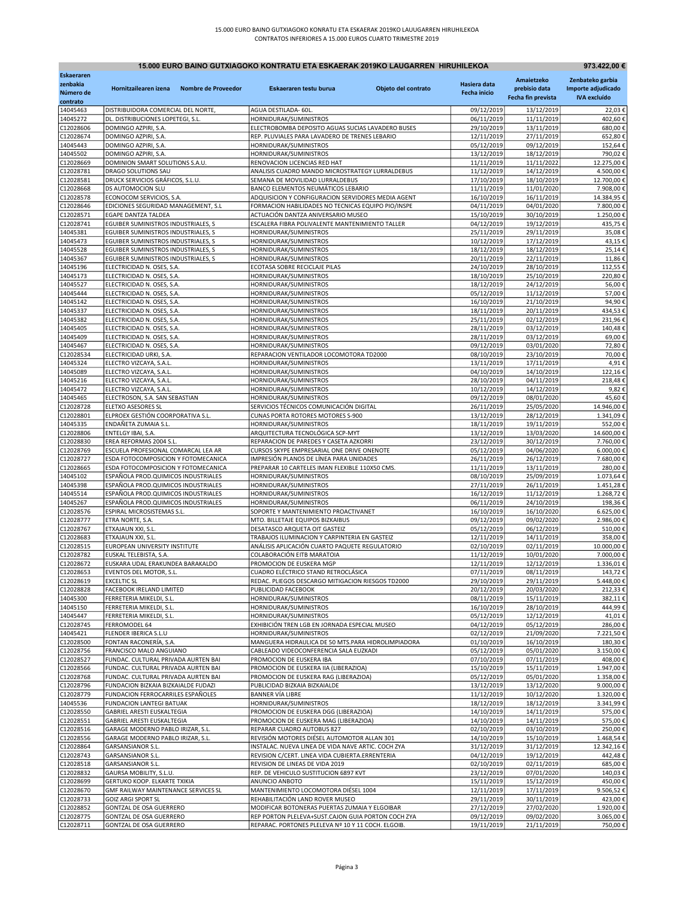| 15.000 EURO BAINO GUTXIAGOKO KONTRATU ETA ESKAERAK 2019KO LAUGARREN HIRUHILEKOA<br>973.422,00 € |                                                                             |                                                                                                 |                     |                          |                          |                         |  |
|-------------------------------------------------------------------------------------------------|-----------------------------------------------------------------------------|-------------------------------------------------------------------------------------------------|---------------------|--------------------------|--------------------------|-------------------------|--|
| Eskaeraren                                                                                      |                                                                             |                                                                                                 |                     |                          | Amaietzeko               | Zenbateko garbia        |  |
| zenbakia                                                                                        | Hornitzailearen izena<br><b>Nombre de Proveedor</b>                         | Eskaeraren testu burua                                                                          | Objeto del contrato | Hasiera data             | prebisio data            | Importe adjudicado      |  |
| Número de<br>contrato                                                                           |                                                                             |                                                                                                 |                     | <b>Fecha inicio</b>      | Fecha fin prevista       | <b>IVA</b> excluído     |  |
| 14045463                                                                                        | DISTRIBUIDORA COMERCIAL DEL NORTE,                                          | AGUA DESTILADA- 60L.                                                                            |                     | 09/12/2019               | 13/12/2019               | 22,03€                  |  |
| 14045272                                                                                        | DL. DISTRIBUCIONES LOPETEGI, S.L.                                           | HORNIDURAK/SUMINISTROS                                                                          |                     | 06/11/2019               | 11/11/2019               | 402.60€                 |  |
| C12028606                                                                                       | DOMINGO AZPIRI, S.A.                                                        | ELECTROBOMBA DEPOSITO AGUAS SUCIAS LAVADERO BUSES                                               |                     | 29/10/2019               | 13/11/2019               | 680,00€                 |  |
| C12028674<br>14045443                                                                           | DOMINGO AZPIRI, S.A.<br>DOMINGO AZPIRI, S.A.                                | REP. PLUVIALES PARA LAVADERO DE TRENES LEBARIO<br>HORNIDURAK/SUMINISTROS                        |                     | 12/11/2019<br>05/12/2019 | 27/11/2019<br>09/12/2019 | 652,80€<br>152,64€      |  |
| 14045502                                                                                        | DOMINGO AZPIRI, S.A.                                                        | HORNIDURAK/SUMINISTROS                                                                          |                     | 13/12/2019               | 18/12/2019               | 790,02€                 |  |
| C12028669                                                                                       | DOMINION SMART SOLUTIONS S.A.U                                              | RENOVACION LICENCIAS RED HAT                                                                    |                     | 11/11/2019               | 11/11/2022               | 12.275,00€              |  |
| C12028781                                                                                       | DRAGO SOLUTIONS SAU                                                         | ANALISIS CUADRO MANDO MICROSTRATEGY LURRALDEBUS                                                 |                     | 11/12/2019               | 14/12/2019               | 4.500,00€               |  |
| C12028581                                                                                       | DRUCK SERVICIOS GRÁFICOS, S.L.U.<br>DS AUTOMOCION SLU                       | SEMANA DE MOVILIDAD LURRALDEBUS<br>BANCO ELEMENTOS NEUMÁTICOS LEBARIO                           |                     | 17/10/2019<br>11/11/2019 | 18/10/2019<br>11/01/2020 | 12.700,00€<br>7.908,00€ |  |
| C12028668<br>C12028578                                                                          | ECONOCOM SERVICIOS, S.A.                                                    | ADQUISICION Y CONFIGURACION SERVIDORES MEDIA AGENT                                              |                     | 16/10/2019               | 16/11/2019               | 14.384,95 €             |  |
| C12028646                                                                                       | EDICIONES SEGURIDAD MANAGEMENT, S.L                                         | FORMACION HABILIDADES NO TECNICAS EQUIPO PIO/INSPE                                              |                     | 04/11/2019               | 04/01/2020               | 7.800,00€               |  |
| C12028571                                                                                       | <b>EGAPE DANTZA TALDEA</b>                                                  | ACTUACIÓN DANTZA ANIVERSARIO MUSEO                                                              |                     | 15/10/2019               | 30/10/2019               | 1.250,00€               |  |
| C12028741                                                                                       | EGUIBER SUMINISTROS INDUSTRIALES, S                                         | ESCALERA FIBRA POLIVALENTE MANTENIMIENTO TALLER                                                 |                     | 04/12/2019               | 19/12/2019               | 435,75€                 |  |
| 14045381<br>14045473                                                                            | EGUIBER SUMINISTROS INDUSTRIALES, S<br>EGUIBER SUMINISTROS INDUSTRIALES, S  | HORNIDURAK/SUMINISTROS<br>HORNIDURAK/SUMINISTROS                                                |                     | 25/11/2019<br>10/12/2019 | 29/11/2019<br>17/12/2019 | 35,08€<br>43,15€        |  |
| 14045528                                                                                        | EGUIBER SUMINISTROS INDUSTRIALES, S                                         | HORNIDURAK/SUMINISTROS                                                                          |                     | 18/12/2019               | 18/12/2019               | 25,14€                  |  |
| 14045367                                                                                        | EGUIBER SUMINISTROS INDUSTRIALES, S                                         | HORNIDURAK/SUMINISTROS                                                                          |                     | 20/11/2019               | 22/11/2019               | 11,86€                  |  |
| 14045196                                                                                        | ELECTRICIDAD N. OSES, S.A.                                                  | ECOTASA SOBRE RECICLAJE PILAS                                                                   |                     | 24/10/2019               | 28/10/2019               | 112,55€                 |  |
| 14045173                                                                                        | ELECTRICIDAD N. OSES, S.A.                                                  | HORNIDURAK/SUMINISTROS                                                                          |                     | 18/10/2019               | 25/10/2019               | 220,80€                 |  |
| 14045527<br>14045444                                                                            | ELECTRICIDAD N. OSES, S.A.<br>ELECTRICIDAD N. OSES, S.A.                    | HORNIDURAK/SUMINISTROS<br>HORNIDURAK/SUMINISTROS                                                |                     | 18/12/2019<br>05/12/2019 | 24/12/2019<br>11/12/2019 | 56,00€<br>57,00€        |  |
| 14045142                                                                                        | ELECTRICIDAD N. OSES, S.A.                                                  | HORNIDURAK/SUMINISTROS                                                                          |                     | 16/10/2019               | 21/10/2019               | 94,90€                  |  |
| 14045337                                                                                        | ELECTRICIDAD N. OSES, S.A.                                                  | HORNIDURAK/SUMINISTROS                                                                          |                     | 18/11/2019               | 20/11/2019               | 434,53€                 |  |
| 14045382                                                                                        | ELECTRICIDAD N. OSES, S.A.                                                  | HORNIDURAK/SUMINISTROS                                                                          |                     | 25/11/2019               | 02/12/2019               | 231,96€                 |  |
| 14045405                                                                                        | ELECTRICIDAD N. OSES, S.A.                                                  | HORNIDURAK/SUMINISTROS                                                                          |                     | 28/11/2019               | 03/12/2019               | 140,48€                 |  |
| 14045409                                                                                        | ELECTRICIDAD N. OSES, S.A.                                                  | HORNIDURAK/SUMINISTROS                                                                          |                     | 28/11/2019               | 03/12/2019<br>03/01/2020 | 69,00€                  |  |
| 14045467<br>C12028534                                                                           | ELECTRICIDAD N. OSES, S.A.<br>ELECTRICIDAD URKI, S.A.                       | HORNIDURAK/SUMINISTROS<br>REPARACION VENTILADOR LOCOMOTORA TD2000                               |                     | 09/12/2019<br>08/10/2019 | 23/10/2019               | 72,80€<br>70,00€        |  |
| 14045324                                                                                        | ELECTRO VIZCAYA, S.A.L                                                      | HORNIDURAK/SUMINISTROS                                                                          |                     | 13/11/2019               | 17/11/2019               | 4,91€                   |  |
| 14045089                                                                                        | ELECTRO VIZCAYA, S.A.L.                                                     | HORNIDURAK/SUMINISTROS                                                                          |                     | 04/10/2019               | 14/10/2019               | 122,16€                 |  |
| 14045216                                                                                        | ELECTRO VIZCAYA, S.A.L.                                                     | HORNIDURAK/SUMINISTROS                                                                          |                     | 28/10/2019               | 04/11/2019               | 218,48€                 |  |
| 14045472<br>14045465                                                                            | ELECTRO VIZCAYA, S.A.L<br>ELECTROSON, S.A. SAN SEBASTIAN                    | HORNIDURAK/SUMINISTROS<br>HORNIDURAK/SUMINISTROS                                                |                     | 10/12/2019<br>09/12/2019 | 14/12/2019<br>08/01/2020 | 9,82€<br>45,60€         |  |
| C12028728                                                                                       | ELETXO ASESORES SL                                                          | SERVICIOS TÉCNICOS COMUNICACIÓN DIGITAL                                                         |                     | 26/11/2019               | 25/05/2020               | 14.946,00€              |  |
| C12028801                                                                                       | ELPROEX GESTIÓN COORPORATIVA S.L.                                           | CUNAS PORTA ROTORES MOTORES S-900                                                               |                     | 13/12/2019               | 28/12/2019               | 1.341,09€               |  |
| 14045335                                                                                        | ENDAÑETA ZUMAIA S.L.                                                        | HORNIDURAK/SUMINISTROS                                                                          |                     | 18/11/2019               | 19/11/2019               | 552,00€                 |  |
| C12028806                                                                                       | ENTELGY IBAI, S.A.                                                          | ARQUITECTURA TECNOLÓGICA SCP-MYT                                                                |                     | 13/12/2019               | 13/03/2020               | 14.600,00€              |  |
| C12028830<br>C12028769                                                                          | EREA REFORMAS 2004 S.L<br>ESCUELA PROFESIONAL COMARCAL LEA AR               | REPARACION DE PAREDES Y CASETA AZKORRI<br>CURSOS SKYPE EMPRESARIAL ONE DRIVE ONENOTE            |                     | 23/12/2019<br>05/12/2019 | 30/12/2019<br>04/06/2020 | 7.760,00€<br>6.000,00€  |  |
| C12028727                                                                                       | ESDA FOTOCOMPOSICION Y FOTOMECANICA                                         | IMPRESIÓN PLANOS DE LÍNEA PARA UNIDADES                                                         |                     | 26/11/2019               | 26/12/2019               | 7.680,00€               |  |
| C12028665                                                                                       | ESDA FOTOCOMPOSICION Y FOTOMECANICA                                         | PREPARAR 10 CARTELES IMAN FLEXIBLE 110X50 CMS.                                                  |                     | 11/11/2019               | 13/11/2019               | 280,00€                 |  |
| 14045102                                                                                        | ESPAÑOLA PROD.QUIMICOS INDUSTRIALES                                         | HORNIDURAK/SUMINISTROS                                                                          |                     | 08/10/2019               | 25/09/2019               | 1.073,64€               |  |
| 14045398<br>14045514                                                                            | ESPAÑOLA PROD.QUIMICOS INDUSTRIALES<br>ESPAÑOLA PROD. QUIMICOS INDUSTRIALES | HORNIDURAK/SUMINISTROS<br>HORNIDURAK/SUMINISTROS                                                |                     | 27/11/2019<br>16/12/2019 | 26/11/2019<br>11/12/2019 | 1.451,28€<br>1.268,72€  |  |
| 14045267                                                                                        | ESPAÑOLA PROD.QUIMICOS INDUSTRIALES                                         | HORNIDURAK/SUMINISTROS                                                                          |                     | 06/11/2019               | 24/10/2019               | 198,36€                 |  |
| C12028576                                                                                       | ESPIRAL MICROSISTEMAS S.L.                                                  | SOPORTE Y MANTENIMIENTO PROACTIVANET                                                            |                     | 16/10/2019               | 16/10/2020               | 6.625,00€               |  |
| C12028777                                                                                       | ETRA NORTE, S.A.                                                            | MTO. BILLETAJE EQUIPOS BIZKAIBUS                                                                |                     | 09/12/2019               | 09/02/2020               | 2.986,00€               |  |
| C12028767                                                                                       | ETXAJAUN XXI, S.L.                                                          | DESATASCO ARQUETA OIT GASTEIZ                                                                   |                     | 05/12/2019               | 06/12/2019               | 510,00€                 |  |
| C12028683                                                                                       | ETXAJAUN XXI, S.L<br>EUROPEAN UNIVERSITY INSTITUTE                          | TRABAJOS ILUMINACION Y CARPINTERIA EN GASTEIZ<br>ANÁLISIS APLICACIÓN CUARTO PAQUETE REGULATORIO |                     | 12/11/2019<br>02/10/2019 | 14/11/2019               | 358,00€<br>10.000,00€   |  |
| C12028515<br>C12028782                                                                          | EUSKAL TELEBISTA, S.A.                                                      | COLABORACIÓN EITB MARATOIA                                                                      |                     | 11/12/2019               | 02/11/2019<br>10/01/2020 | 7.000,00€               |  |
| C12028672                                                                                       | EUSKARA UDAL ERAKUNDEA BARAKALDO                                            | PROMOCION DE EUSKERA MGP                                                                        |                     | 12/11/2019               | 12/12/2019               | 1.336,01€               |  |
| C12028653                                                                                       | EVENTOS DEL MOTOR, S.L.                                                     | CUADRO ELÉCTRICO STAND RETROCLÁSICA                                                             |                     | 07/11/2019               | 08/11/2019               | 143,72€                 |  |
| C12028619                                                                                       | <b>EXCELTIC SL</b>                                                          | REDAC. PLIEGOS DESCARGO MITIGACION RIESGOS TD2000                                               |                     | 29/10/2019               | 29/11/2019               | 5.448,00€               |  |
| C12028828<br>14045300                                                                           | FACEBOOK IRELAND LIMITED<br>FERRETERIA MIKELDI, S.L.                        | PUBLICIDAD FACEBOOK<br>HORNIDURAK/SUMINISTROS                                                   |                     | 20/12/2019<br>08/11/2019 | 20/03/2020<br>15/11/2019 | 212,33€<br>382,11€      |  |
| 14045150                                                                                        | FERRETERIA MIKELDI, S.L.                                                    | HORNIDURAK/SUMINISTROS                                                                          |                     | 16/10/2019               | 28/10/2019               | 444,99€                 |  |
| 14045447                                                                                        | FERRETERIA MIKELDI, S.L.                                                    | HORNIDURAK/SUMINISTROS                                                                          |                     | 05/12/2019               | 12/12/2019               | 41,01€                  |  |
| C12028745                                                                                       | FERROMODEL 64                                                               | EXHIBICIÓN TREN LGB EN JORNADA ESPECIAL MUSEO                                                   |                     | 04/12/2019               | 05/12/2019               | 286,00€                 |  |
| 14045421                                                                                        | FLENDER IBERICA S.L.U                                                       | HORNIDURAK/SUMINISTROS                                                                          |                     | 02/12/2019               | 21/09/2020               | 7.221,50€               |  |
| C12028500<br>C12028756                                                                          | FONTAN RACONERÍA, S.A.<br>FRANCISCO MALO ANGUIANO                           | MANGUERA HIDRAULICA DE 50 MTS.PARA HIDROLIMPIADORA<br>CABLEADO VIDEOCONFERENCIA SALA EUZKADI    |                     | 01/10/2019<br>05/12/2019 | 16/10/2019<br>05/01/2020 | 180,30€<br>3.150,00€    |  |
| C12028527                                                                                       | FUNDAC. CULTURAL PRIVADA AURTEN BAI                                         | PROMOCION DE EUSKERA IBA                                                                        |                     | 07/10/2019               | 07/11/2019               | 408,00€                 |  |
| C12028566                                                                                       | FUNDAC. CULTURAL PRIVADA AURTEN BAI                                         | PROMOCION DE EUSKERA IIA (LIBERAZIOA)                                                           |                     | 15/10/2019               | 15/11/2019               | 1.947,00€               |  |
| C12028768                                                                                       | FUNDAC. CULTURAL PRIVADA AURTEN BAI                                         | PROMOCION DE EUSKERA RAG (LIBERAZIOA)                                                           |                     | 05/12/2019               | 05/01/2020               | 1.358,00€               |  |
| C12028796                                                                                       | FUNDACION BIZKAIA BIZKAIALDE FUDAZI                                         | PUBLICIDAD BIZKAIA BIZKAIALDE                                                                   |                     | 13/12/2019               | 13/12/2020               | 9.000,00€               |  |
| C12028779<br>14045536                                                                           | FUNDACION FERROCARRILES ESPAÑOLES<br><b>FUNDACION LANTEGI BATUAK</b>        | <b>BANNER VÍA LIBRE</b><br>HORNIDURAK/SUMINISTROS                                               |                     | 11/12/2019<br>18/12/2019 | 10/12/2020<br>18/12/2019 | 1.320,00€<br>3.341,99€  |  |
| C12028550                                                                                       | GABRIEL ARESTI EUSKALTEGIA                                                  | PROMOCION DE EUSKERA DGG (LIBERAZIOA)                                                           |                     | 14/10/2019               | 14/11/2019               | 575,00€                 |  |
| C12028551                                                                                       | GABRIEL ARESTI EUSKALTEGIA                                                  | PROMOCION DE EUSKERA MAG (LIBERAZIOA)                                                           |                     | 14/10/2019               | 14/11/2019               | 575,00€                 |  |
| C12028516                                                                                       | GARAGE MODERNO PABLO IRIZAR, S.L.                                           | REPARAR CUADRO AUTOBUS 827                                                                      |                     | 02/10/2019               | 03/10/2019               | 250,00€                 |  |
| C12028556                                                                                       | GARAGE MODERNO PABLO IRIZAR, S.L.                                           | REVISIÓN MOTORES DIÉSEL AUTOMOTOR ALLAN 301                                                     |                     | 14/10/2019               | 15/10/2019               | 1.468,54€               |  |
| C12028864                                                                                       | GARSANSIANOR S.L.                                                           | INSTALAC. NUEVA LINEA DE VIDA NAVE ARTIC. COCH ZYA                                              |                     | 31/12/2019               | 31/12/2019               | 12.342,16€              |  |
| C12028743<br>C12028518                                                                          | GARSANSIANOR S.L.<br>GARSANSIANOR S.L.                                      | REVISION C/CERT. LINEA VIDA CUBIERTA.ERRENTERIA<br>REVISION DE LINEAS DE VIDA 2019              |                     | 04/12/2019<br>02/10/2019 | 19/12/2019<br>02/11/2019 | 442,48€<br>685,00€      |  |
| C12028832                                                                                       | GAURSA MOBILITY, S.L.U.                                                     | REP. DE VEHICULO SUSTITUCION 6897 KVT                                                           |                     | 23/12/2019               | 07/01/2020               | 140,03€                 |  |
| C12028699                                                                                       | GERTUKO KOOP. ELKARTE TXIKIA                                                | ANUNCIO ANBOTO                                                                                  |                     | 15/11/2019               | 15/12/2019               | 450,00€                 |  |
| C12028670                                                                                       | GMF RAILWAY MAINTENANCE SERVICES SL                                         | MANTENIMIENTO LOCOMOTORA DIÉSEL 1004                                                            |                     | 12/11/2019               | 17/11/2019               | 9.506,52€               |  |
| C12028733<br>C12028852                                                                          | <b>GOIZ ARGI SPORT SL</b><br>GONTZAL DE OSA GUERRERO                        | REHABILITACIÓN LAND ROVER MUSEO<br>MODIFICAR BOTONERAS PUERTAS ZUMAIA Y ELGOIBAR                |                     | 29/11/2019<br>27/12/2019 | 30/11/2019               | 423,00€<br>1.920,00€    |  |
| C12028775                                                                                       | GONTZAL DE OSA GUERRERO                                                     | REP PORTON PLELEVA+SUST.CAJON GUIA PORTON COCH ZYA                                              |                     | 09/12/2019               | 27/02/2020<br>09/02/2020 | 3.065,00€               |  |
| C12028711                                                                                       | GONTZAL DE OSA GUERRERO                                                     | REPARAC. PORTONES PLELEVA Nº 10 Y 11 COCH. ELGOIB.                                              |                     | 19/11/2019               | 21/11/2019               | 750,00 €                |  |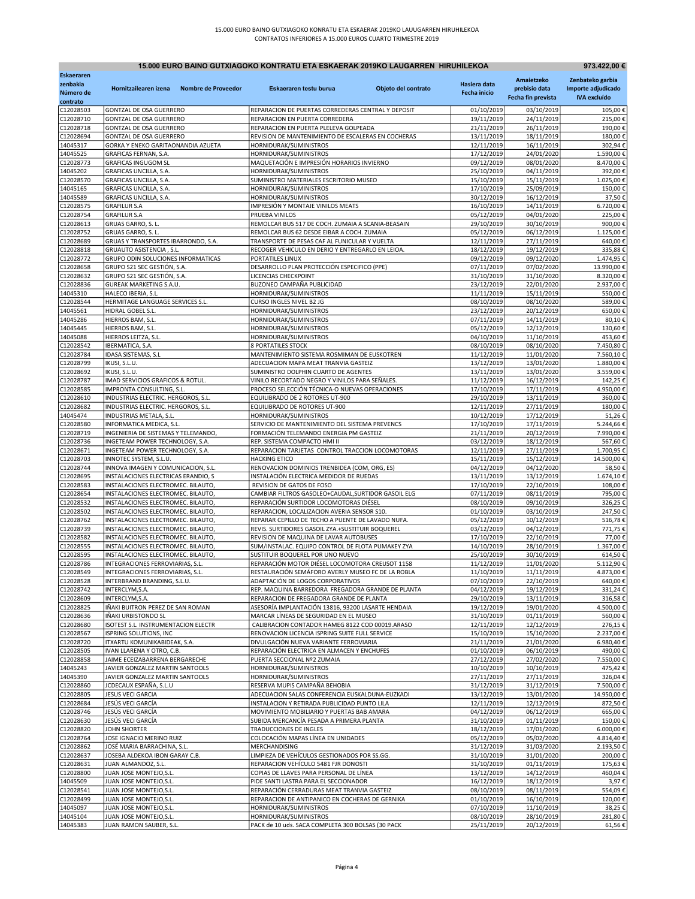| 15.000 EURO BAINO GUTXIAGOKO KONTRATU ETA ESKAERAK 2019KO LAUGARREN HIRUHILEKOA<br>973.422,00 € |                                                                         |                                                                                                   |                     |                          |                          |                         |  |
|-------------------------------------------------------------------------------------------------|-------------------------------------------------------------------------|---------------------------------------------------------------------------------------------------|---------------------|--------------------------|--------------------------|-------------------------|--|
| <b>Eskaeraren</b>                                                                               |                                                                         |                                                                                                   |                     |                          | Amaietzeko               | Zenbateko garbia        |  |
| zenbakia                                                                                        | Hornitzailearen izena<br>Nombre de Proveedor                            | Eskaeraren testu burua                                                                            | Objeto del contrato | Hasiera data             | prebisio data            | Importe adjudicado      |  |
| Número de<br>contrato                                                                           |                                                                         |                                                                                                   |                     | Fecha inicio             | Fecha fin prevista       | <b>IVA excluído</b>     |  |
| C12028503                                                                                       | GONTZAL DE OSA GUERRERO                                                 | REPARACION DE PUERTAS CORREDERAS CENTRAL Y DEPOSIT                                                |                     | 01/10/2019               | 03/10/2019               | 105,00€                 |  |
| C12028710                                                                                       | GONTZAL DE OSA GUERRERO                                                 | REPARACION EN PUERTA CORREDERA                                                                    |                     | 19/11/2019               | 24/11/2019               | 215,00€                 |  |
| C12028718<br>C12028694                                                                          | GONTZAL DE OSA GUERRERO                                                 | REPARACION EN PUERTA PLELEVA GOLPEADA<br>REVISION DE MANTENIMIENTO DE ESCALERAS EN COCHERAS       |                     | 21/11/2019<br>13/11/2019 | 26/11/2019<br>18/11/2019 | 190,00€<br>180,00€      |  |
| 14045317                                                                                        | GONTZAL DE OSA GUERRERO<br>GORKA Y ENEKO GARITAONANDIA AZUETA           | HORNIDURAK/SUMINISTROS                                                                            |                     | 12/11/2019               | 16/11/2019               | 302,94€                 |  |
| 14045525                                                                                        | GRAFICAS FERNAN, S.A.                                                   | HORNIDURAK/SUMINISTROS                                                                            |                     | 17/12/2019               | 24/01/2020               | 1.590,00€               |  |
| C12028773                                                                                       | <b>GRAFICAS INGUGOM SL</b>                                              | MAQUETACIÓN E IMPRESIÓN HORARIOS INVIERNO                                                         |                     | 09/12/2019               | 08/01/2020               | 8.470,00€               |  |
| 14045202                                                                                        | GRAFICAS UNCILLA, S.A.                                                  | HORNIDURAK/SUMINISTROS                                                                            |                     | 25/10/2019               | 04/11/2019               | 392,00€                 |  |
| C12028570<br>14045165                                                                           | GRAFICAS UNCILLA, S.A.<br>GRAFICAS UNCILLA, S.A.                        | SUMINISTRO MATERIALES ESCRITORIO MUSEO<br>HORNIDURAK/SUMINISTROS                                  |                     | 15/10/2019<br>17/10/2019 | 15/11/2019<br>25/09/2019 | 1.025,00€<br>150,00€    |  |
| 14045589                                                                                        | GRAFICAS UNCILLA, S.A.                                                  | HORNIDURAK/SUMINISTROS                                                                            |                     | 30/12/2019               | 16/12/2019               | 37,50€                  |  |
| C12028575                                                                                       | <b>GRAFILUR S.A</b>                                                     | IMPRESIÓN Y MONTAJE VINILOS MEATS                                                                 |                     | 16/10/2019               | 14/11/2019               | 6.720,00€               |  |
| C12028754                                                                                       | <b>GRAFILUR S.A</b>                                                     | PRUEBA VINILOS                                                                                    |                     | 05/12/2019               | 04/01/2020               | 225,00€                 |  |
| C12028613                                                                                       | GRUAS GARRO, S. L.                                                      | REMOLCAR BUS 517 DE COCH. ZUMAIA A SCANIA-BEASAIN                                                 |                     | 29/10/2019               | 30/10/2019               | 900,00€                 |  |
| C12028752<br>C12028689                                                                          | GRUAS GARRO, S. L.<br>GRUAS Y TRANSPORTES IBARRONDO, S.A.               | REMOLCAR BUS 62 DESDE EIBAR A COCH. ZUMAIA<br>TRANSPORTE DE PESAS CAF AL FUNICULAR Y VUELTA       |                     | 05/12/2019<br>12/11/2019 | 06/12/2019<br>27/11/2019 | 1.125,00€<br>640,00€    |  |
| C12028818                                                                                       | GRUAUTO ASISTENCIA, S.L.                                                | RECOGER VEHICULO EN DERIO Y ENTREGARLO EN LEIOA.                                                  |                     | 18/12/2019               | 19/12/2019               | 335,88€                 |  |
| C12028772                                                                                       | GRUPO ODIN SOLUCIONES INFORMATICAS                                      | PORTATILES LINUX                                                                                  |                     | 09/12/2019               | 09/12/2020               | 1.474,95€               |  |
| C12028658                                                                                       | GRUPO S21 SEC GESTIÓN, S.A.                                             | DESARROLLO PLAN PROTECCIÓN ESPECIFICO (PPE)                                                       |                     | 07/11/2019               | 07/02/2020               | 13.990,00€              |  |
| C12028632                                                                                       | GRUPO S21 SEC GESTIÓN, S.A.                                             | <b>LICENCIAS CHECKPOINT</b>                                                                       |                     | 31/10/2019               | 31/10/2020               | 8.320,00€               |  |
| C12028836<br>14045310                                                                           | GUREAK MARKETING S.A.U.<br>HALECO IBERIA, S.L.                          | BUZONEO CAMPAÑA PUBLICIDAD<br>HORNIDURAK/SUMINISTROS                                              |                     | 23/12/2019<br>11/11/2019 | 22/01/2020<br>15/11/2019 | 2.937,00€<br>550,00€    |  |
| C12028544                                                                                       | HERMITAGE LANGUAGE SERVICES S.L.                                        | CURSO INGLES NIVEL B2 JG                                                                          |                     | 08/10/2019               | 08/10/2020               | 589,00€                 |  |
| 14045561                                                                                        | HIDRAL GOBEL S.L.                                                       | HORNIDURAK/SUMINISTROS                                                                            |                     | 23/12/2019               | 20/12/2019               | 650,00€                 |  |
| 14045286                                                                                        | HIERROS BAM, S.L                                                        | HORNIDURAK/SUMINISTROS                                                                            |                     | 07/11/2019               | 14/11/2019               | 80,10€                  |  |
| 14045445                                                                                        | HIERROS BAM, S.L                                                        | HORNIDURAK/SUMINISTROS                                                                            |                     | 05/12/2019               | 12/12/2019               | 130,60€                 |  |
| 14045088                                                                                        | HIERROS LEITZA, S.L                                                     | HORNIDURAK/SUMINISTROS                                                                            |                     | 04/10/2019               | 11/10/2019               | 453,60€                 |  |
| C12028542<br>C12028784                                                                          | IBERMATICA, S.A.<br>IDASA SISTEMAS, S.L                                 | <b>8 PORTATILES STOCK</b><br>MANTENIMIENTO SISTEMA ROSMIMAN DE EUSKOTREN                          |                     | 08/10/2019<br>11/12/2019 | 08/10/2020<br>11/01/2020 | 7.450,80€<br>7.560,10€  |  |
| C12028799                                                                                       | IKUSI, S.L.U.                                                           | ADECUACION MAPA MEAT TRANVIA GASTEIZ                                                              |                     | 13/12/2019               | 13/01/2020               | 1.880,00€               |  |
| C12028692                                                                                       | IKUSI, S.L.U.                                                           | SUMINISTRO DOLPHIN CUARTO DE AGENTES                                                              |                     | 13/11/2019               | 13/01/2020               | 3.559,00€               |  |
| C12028787                                                                                       | IMAD SERVICIOS GRAFICOS & ROTUL.                                        | VINILO RECORTADO NEGRO Y VINILOS PARA SEÑALES.                                                    |                     | 11/12/2019               | 16/12/2019               | 142,25€                 |  |
| C12028585                                                                                       | IMPRONTA CONSULTING, S.L.                                               | PROCESO SELECCIÓN TÉCNICA-O NUEVAS OPERACIONES                                                    |                     | 17/10/2019               | 17/11/2019               | 4.950,00€               |  |
| C12028610                                                                                       | INDUSTRIAS ELECTRIC. HERGOROS, S.L.                                     | EQUILIBRADO DE 2 ROTORES UT-900                                                                   |                     | 29/10/2019               | 13/11/2019               | 360,00€                 |  |
| C12028682<br>14045474                                                                           | INDUSTRIAS ELECTRIC. HERGOROS, S.L.<br>INDUSTRIAS METALA, S.L.          | EQUILIBRADO DE ROTORES UT-900<br>HORNIDURAK/SUMINISTROS                                           |                     | 12/11/2019<br>10/12/2019 | 27/11/2019<br>17/12/2019 | 180,00€<br>51,26€       |  |
| C12028580                                                                                       | INFORMATICA MEDICA, S.L.                                                | SERVICIO DE MANTENIMIENTO DEL SISTEMA PREVENCS                                                    |                     | 17/10/2019               | 17/11/2019               | 5.244,66€               |  |
| C12028719                                                                                       | INGENIERIA DE SISTEMAS Y TELEMANDO,                                     | FORMACIÓN TELEMANDO ENERGIA PM GASTEIZ                                                            |                     | 21/11/2019               | 20/12/2019               | 7.990,00€               |  |
| C12028736                                                                                       | INGETEAM POWER TECHNOLOGY, S.A.                                         | REP. SISTEMA COMPACTO HMI II                                                                      |                     | 03/12/2019               | 18/12/2019               | 567,60€                 |  |
| C12028671                                                                                       | INGETEAM POWER TECHNOLOGY, S.A.                                         | REPARACION TARJETAS CONTROL TRACCION LOCOMOTORAS                                                  |                     | 12/11/2019               | 27/11/2019               | 1.700,95€               |  |
| C12028703<br>C12028744                                                                          | INNOTEC SYSTEM, S.L.U.<br>INNOVA IMAGEN Y COMUNICACION, S.L.            | <b>HACKING ETICO</b><br>RENOVACION DOMINIOS TRENBIDEA (COM, ORG, ES)                              |                     | 15/11/2019<br>04/12/2019 | 15/12/2019<br>04/12/2020 | 14.500,00€<br>58,50€    |  |
| C12028695                                                                                       | INSTALACIONES ELECTRICAS ERANDIO, S                                     | INSTALACIÓN ELECTRICA MEDIDOR DE RUEDAS                                                           |                     | 13/11/2019               | 13/12/2019               | 1.674,10€               |  |
| C12028583                                                                                       | INSTALACIONES ELECTROMEC. BILAUTO,                                      | REVISION DE GATOS DE FOSO                                                                         |                     | 17/10/2019               | 22/10/2019               | 108,00€                 |  |
| C12028654                                                                                       | INSTALACIONES ELECTROMEC. BILAUTO                                       | CAMBIAR FILTROS GASOLEO+CAUDAL, SURTIDOR GASOIL ELG                                               |                     | 07/11/2019               | 08/11/2019               | 795,00€                 |  |
| C12028532                                                                                       | INSTALACIONES ELECTROMEC. BILAUTO                                       | REPARACIÓN SURTIDOR LOCOMOTORAS DIÉSEL                                                            |                     | 08/10/2019               | 09/10/2019               | 326,25€                 |  |
| C12028502<br>C12028762                                                                          | INSTALACIONES ELECTROMEC. BILAUTO,                                      | REPARACION, LOCALIZACION AVERIA SENSOR S10.<br>REPARAR CEPILLO DE TECHO A PUENTE DE LAVADO NUFA.  |                     | 01/10/2019<br>05/12/2019 | 03/10/2019               | 247,50€<br>516,78€      |  |
| C12028739                                                                                       | INSTALACIONES ELECTROMEC. BILAUTO,<br>INSTALACIONES ELECTROMEC. BILAUTO | REVIS. SURTIDORES GASOIL ZYA.+SUSTITUIR BOQUEREL                                                  |                     | 03/12/2019               | 10/12/2019<br>04/12/2019 | 771,75€                 |  |
| C12028582                                                                                       | INSTALACIONES ELECTROMEC. BILAUTO                                       | REVISION DE MAQUINA DE LAVAR AUTOBUSES                                                            |                     | 17/10/2019               | 22/10/2019               | 77,00€                  |  |
| C12028555                                                                                       | INSTALACIONES ELECTROMEC. BILAUTO,                                      | SUM/INSTALAC. EQUIPO CONTROL DE FLOTA PUMAKEY ZYA                                                 |                     | 14/10/2019               | 28/10/2019               | 1.367,00€               |  |
| C12028595                                                                                       | INSTALACIONES ELECTROMEC. BILAUTO,                                      | SUSTITUIR BOQUEREL POR UNO NUEVO                                                                  |                     | 25/10/2019               | 30/10/2019               | 614,50€                 |  |
| C12028786                                                                                       | INTEGRACIONES FERROVIARIAS, S.L.                                        | REPARACIÓN MOTOR DIÉSEL LOCOMOTORA CREUSOT 1158                                                   |                     | 11/12/2019               | 11/01/2020               | 5.112,90€               |  |
| C12028549<br>C12028528                                                                          | INTEGRACIONES FERROVIARIAS, S.L.<br>INTERBRAND BRANDING, S.L.U.         | RESTAURACIÓN SEMÁFORO AVERLY MUSEO FC DE LA ROBLA<br>ADAPTACIÓN DE LOGOS CORPORATIVOS             |                     | 11/10/2019<br>07/10/2019 | 11/11/2019<br>22/10/2019 | 4.873,00€<br>640,00€    |  |
| C12028742                                                                                       | INTERCLYM, S.A.                                                         | REP. MAQUINA BARREDORA FREGADORA GRANDE DE PLANTA                                                 |                     | 04/12/2019               | 19/12/2019               | 331,24€                 |  |
| C12028609                                                                                       | INTERCLYM, S.A.                                                         | REPARACION DE FREGADORA GRANDE DE PLANTA                                                          |                     | 29/10/2019               | 13/11/2019               | 316,58€                 |  |
| C12028825                                                                                       | IÑAKI BUITRON PEREZ DE SAN ROMAN                                        | ASESORÍA IMPLANTACIÓN 13816, 93200 LASARTE HENDAIA                                                |                     | 19/12/2019               | 19/01/2020               | 4.500,00€               |  |
| C12028636                                                                                       | IÑAKI URBISTONDO SL                                                     | MARCAR LÍNEAS DE SEGURIDAD EN EL MUSEO                                                            |                     | 31/10/2019               | 01/11/2019               | 560,00€                 |  |
| C12028680<br>C12028567                                                                          | ISOTEST S.L. INSTRUMENTACION ELECTR<br>ISPRING SOLUTIONS, INC           | CALIBRACION CONTADOR HAMEG 8122 COD 00019.ARASO<br>RENOVACION LICENCIA ISPRING SUITE FULL SERVICE |                     | 12/11/2019<br>15/10/2019 | 12/12/2019<br>15/10/2020 | 276,15€<br>2.237,00€    |  |
| C12028720                                                                                       | ITXARTU KOMUNIKABIDEAK, S.A.                                            | DIVULGACIÓN NUEVA VARIANTE FERROVIARIA                                                            |                     | 21/11/2019               | 21/01/2020               | 6.980,40€               |  |
| C12028505                                                                                       | IVAN LLARENA Y OTRO, C.B.                                               | REPARACIÓN ELECTRICA EN ALMACEN Y ENCHUFES                                                        |                     | 01/10/2019               | 06/10/2019               | 490,00€                 |  |
| C12028858                                                                                       | JAIME ECEIZABARRENA BERGARECHE                                          | PUERTA SECCIONAL Nº2 ZUMAIA                                                                       |                     | 27/12/2019               | 27/02/2020               | 7.550,00€               |  |
| 14045243                                                                                        | JAVIER GONZALEZ MARTIN SANTOOLS                                         | HORNIDURAK/SUMINISTROS                                                                            |                     | 10/10/2019               | 10/10/2019               | 475,42€                 |  |
| 14045390                                                                                        | JAVIER GONZALEZ MARTIN SANTOOLS                                         | HORNIDURAK/SUMINISTROS                                                                            |                     | 27/11/2019               | 27/11/2019               | 326,04€                 |  |
| C12028860<br>C12028805                                                                          | JCDECAUX ESPAÑA, S.L.U<br>JESUS VECI GARCIA                             | RESERVA MUPIS CAMPAÑA BEHOBIA<br>ADECUACION SALAS CONFERENCIA EUSKALDUNA-EUZKADI                  |                     | 31/12/2019<br>13/12/2019 | 31/12/2019<br>13/01/2020 | 7.500,00€<br>14.950,00€ |  |
| C12028684                                                                                       | JESÚS VECI GARCÍA                                                       | INSTALACION Y RETIRADA PUBLICIDAD PUNTO LILA                                                      |                     | 12/11/2019               | 12/12/2019               | 872,50€                 |  |
| C12028746                                                                                       | JESÚS VECI GARCÍA                                                       | MOVIMIENTO MOBILIARIO Y PUERTAS BAB AMARA                                                         |                     | 04/12/2019               | 06/12/2019               | 665,00€                 |  |
| C12028630                                                                                       | JESÚS VECI GARCÍA                                                       | SUBIDA MERCANCÍA PESADA A PRIMERA PLANTA                                                          |                     | 31/10/2019               | 01/11/2019               | 150,00€                 |  |
| C12028820                                                                                       | JOHN SHORTER                                                            | TRADUCCIONES DE INGLES                                                                            |                     | 18/12/2019               | 17/01/2020               | 6.000,00€               |  |
| C12028764                                                                                       | JOSE IGNACIO MERINO RUIZ                                                | COLOCACIÓN MAPAS LÍNEA EN UNIDADES                                                                |                     | 05/12/2019               | 05/02/2020               | 4.814,40€               |  |
| C12028862<br>C12028637                                                                          | JOSÉ MARIA BARRACHINA, S.L.<br>JOSEBA ALDEKOA IBON GARAY C.B.           | MERCHANDISING<br>LIMPIEZA DE VEHÍCULOS GESTIONADOS POR SS.GG.                                     |                     | 31/12/2019<br>31/10/2019 | 31/03/2020<br>31/01/2020 | 2.193,50€<br>200,00€    |  |
| C12028631                                                                                       | JUAN ALMANDOZ, S.L.                                                     | REPARACION VEHÍCULO 5481 FJR DONOSTI                                                              |                     | 31/10/2019               | 01/11/2019               | 175,63€                 |  |
| C12028800                                                                                       | JUAN JOSE MONTEJO, S.L.                                                 | COPIAS DE LLAVES PARA PERSONAL DE LÍNEA                                                           |                     | 13/12/2019               | 14/12/2019               | 460,04€                 |  |
| 14045509                                                                                        | JUAN JOSE MONTEJO, S.L.                                                 | PIDE SANTI LASTRA PARA EL SECCIONADOR                                                             |                     | 16/12/2019               | 18/12/2019               | 3,97€                   |  |
| C12028541                                                                                       | JUAN JOSE MONTEJO, S.L.                                                 | REPARACIÓN CERRADURAS MEAT TRANVIA GASTEIZ                                                        |                     | 08/10/2019               | 08/11/2019               | 554,09€                 |  |
| C12028499<br>14045097                                                                           | JUAN JOSE MONTEJO, S.L.                                                 | REPARACION DE ANTIPANICO EN COCHERAS DE GERNIKA<br>HORNIDURAK/SUMINISTROS                         |                     | 01/10/2019<br>07/10/2019 | 16/10/2019<br>11/10/2019 | 120,00€                 |  |
| 14045104                                                                                        | JUAN JOSE MONTEJO, S.L.<br>JUAN JOSE MONTEJO, S.L.                      | HORNIDURAK/SUMINISTROS                                                                            |                     | 08/10/2019               | 28/10/2019               | 38,25€<br>281,80€       |  |
| 14045383                                                                                        | JUAN RAMON SAUBER, S.L.                                                 | PACK de 10 uds. SACA COMPLETA 300 BOLSAS (30 PACK                                                 |                     | 25/11/2019               | 20/12/2019               | 61,56€                  |  |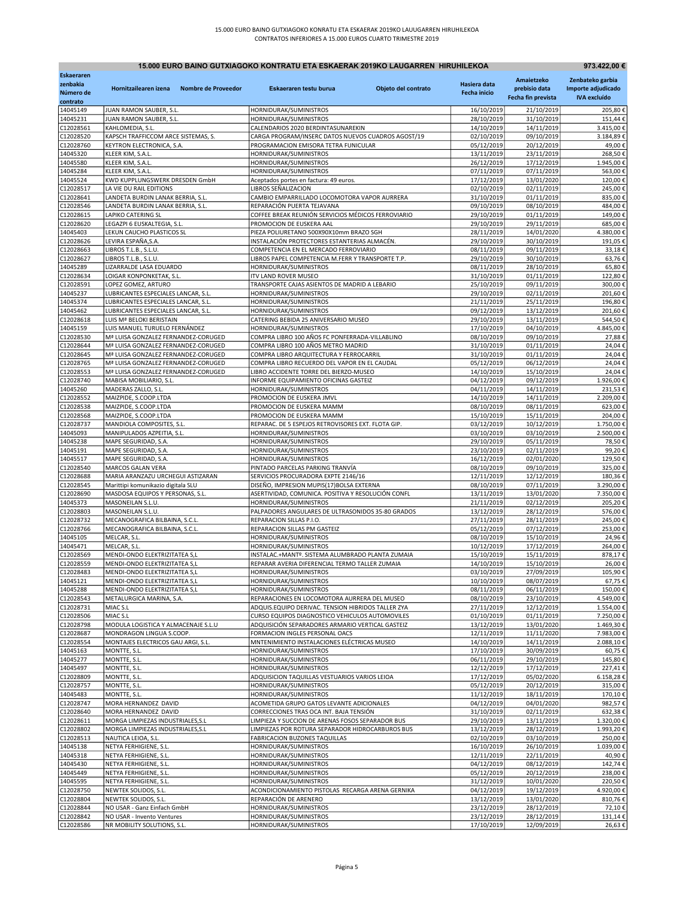| 15.000 EURO BAINO GUTXIAGOKO KONTRATU ETA ESKAERAK 2019KO LAUGARREN HIRUHILEKOA<br>973.422,00 € |                                                                  |                                                                               |                     |                          |                          |                        |  |
|-------------------------------------------------------------------------------------------------|------------------------------------------------------------------|-------------------------------------------------------------------------------|---------------------|--------------------------|--------------------------|------------------------|--|
| Eskaeraren                                                                                      |                                                                  |                                                                               |                     |                          | Amaietzeko               | Zenbateko garbia       |  |
| zenbakia                                                                                        | Hornitzailearen izena<br>Nombre de Proveedor                     | Eskaeraren testu burua                                                        | Objeto del contrato | Hasiera data             | prebisio data            | Importe adjudicado     |  |
| Número de                                                                                       |                                                                  |                                                                               |                     | <b>Fecha inicio</b>      | Fecha fin prevista       | <b>IVA</b> excluído    |  |
| contrato                                                                                        |                                                                  |                                                                               |                     |                          |                          |                        |  |
| 14045149<br>14045231                                                                            | JUAN RAMON SAUBER, S.L.<br>JUAN RAMON SAUBER, S.L.               | HORNIDURAK/SUMINISTROS<br>HORNIDURAK/SUMINISTROS                              |                     | 16/10/2019<br>28/10/2019 | 21/10/2019<br>31/10/2019 | 205,80€<br>151,44€     |  |
| C12028561                                                                                       | KAHLOMEDIA, S.L.                                                 | CALENDARIOS 2020 BERDINTASUNAREKIN                                            |                     | 14/10/2019               | 14/11/2019               | 3.415,00€              |  |
| C12028520                                                                                       | KAPSCH TRAFFICCOM ARCE SISTEMAS, S.                              | CARGA PROGRAM/INSERC DATOS NUEVOS CUADROS AGOST/19                            |                     | 02/10/2019               | 09/10/2019               | 3.184,89€              |  |
| C12028760                                                                                       | KEYTRON ELECTRONICA, S.A.                                        | PROGRAMACION EMISORA TETRA FUNICULAR                                          |                     | 05/12/2019               | 20/12/2019               | 49,00€                 |  |
| 14045320                                                                                        | KLEER KIM, S.A.L.                                                | HORNIDURAK/SUMINISTROS                                                        |                     | 13/11/2019               | 23/11/2019               | 268,50€                |  |
| 14045580                                                                                        | KLEER KIM, S.A.L.                                                | HORNIDURAK/SUMINISTROS                                                        |                     | 26/12/2019               | 17/12/2019               | 1.945,00€              |  |
| 14045284                                                                                        | KLEER KIM, S.A.L.                                                | HORNIDURAK/SUMINISTROS                                                        |                     | 07/11/2019               | 07/11/2019               | 563,00€                |  |
| 14045524                                                                                        | KWD KUPPLUNGSWERK DRESDEN GmbH                                   | Aceptados portes en factura: 49 euros.                                        |                     | 17/12/2019               | 13/01/2020               | 120,00€                |  |
| C12028517<br>C12028641                                                                          | LA VIE DU RAIL EDITIONS<br>LANDETA BURDIN LANAK BERRIA, S.L.     | LIBROS SEÑALIZACION<br>CAMBIO EMPARRILLADO LOCOMOTORA VAPOR AURRERA           |                     | 02/10/2019<br>31/10/2019 | 02/11/2019<br>01/11/2019 | 245,00€<br>835,00€     |  |
| C12028546                                                                                       | LANDETA BURDIN LANAK BERRIA, S.L.                                | REPARACIÓN PUERTA TEJAVANA                                                    |                     | 09/10/2019               | 08/10/2019               | 484,00€                |  |
| C12028615                                                                                       | LAPIKO CATERING SL                                               | COFFEE BREAK REUNIÓN SERVICIOS MÉDICOS FERROVIARIO                            |                     | 29/10/2019               | 01/11/2019               | 149,00€                |  |
| C12028620                                                                                       | LEGAZPI 6 EUSKALTEGIA, S.L.                                      | PROMOCION DE EUSKERA AAL                                                      |                     | 29/10/2019               | 29/11/2019               | 685,00€                |  |
| 14045403                                                                                        | LEKUN CAUCHO PLASTICOS SL                                        | PIEZA POLIURETANO 500X90X10mm BRAZO SGH                                       |                     | 28/11/2019               | 14/01/2020               | 4.380,00€              |  |
| C12028626                                                                                       | LEVIRA ESPAÑA, S.A.                                              | INSTALACIÓN PROTECTORES ESTANTERIAS ALMACÉN.                                  |                     | 29/10/2019               | 30/10/2019               | 191,05€                |  |
| C12028663                                                                                       | LIBROS T.L.B., S.L.U.                                            | COMPETENCIA EN EL MERCADO FERROVIARIO                                         |                     | 08/11/2019               | 09/11/2019               | 33,18€                 |  |
| C12028627                                                                                       | LIBROS T.L.B., S.L.U.                                            | LIBROS PAPEL COMPETENCIA M.FERR Y TRANSPORTE T.P.                             |                     | 29/10/2019               | 30/10/2019               | 63,76€                 |  |
| 14045289                                                                                        | LIZARRALDE LASA EDUARDO                                          | HORNIDURAK/SUMINISTROS                                                        |                     | 08/11/2019               | 28/10/2019               | 65,80€                 |  |
| C12028634                                                                                       | LOIGAR KONPONKETAK, S.L.<br>LOPEZ GOMEZ, ARTURO                  | <b>ITV LAND ROVER MUSEO</b>                                                   |                     | 31/10/2019               | 01/11/2019               | 122,80€                |  |
| C12028591<br>14045237                                                                           | LUBRICANTES ESPECIALES LANCAR, S.L.                              | TRANSPORTE CAJAS ASIENTOS DE MADRID A LEBARIO<br>HORNIDURAK/SUMINISTROS       |                     | 25/10/2019<br>29/10/2019 | 09/11/2019<br>02/11/2019 | 300,00€<br>201,60€     |  |
| 14045374                                                                                        | LUBRICANTES ESPECIALES LANCAR, S.L.                              | HORNIDURAK/SUMINISTROS                                                        |                     | 21/11/2019               | 25/11/2019               | 196,80€                |  |
| 14045462                                                                                        | LUBRICANTES ESPECIALES LANCAR, S.L.                              | HORNIDURAK/SUMINISTROS                                                        |                     | 09/12/2019               | 13/12/2019               | 201,60€                |  |
| C12028618                                                                                       | LUIS Mª BELOKI BERISTAIN                                         | CATERING BEBIDA 25 ANIVERSARIO MUSEO                                          |                     | 29/10/2019               | 13/11/2019               | 544,50€                |  |
| 14045159                                                                                        | LUIS MANUEL TURUELO FERNÁNDEZ                                    | HORNIDURAK/SUMINISTROS                                                        |                     | 17/10/2019               | 04/10/2019               | 4.845,00€              |  |
| C12028530                                                                                       | Mª LUISA GONZALEZ FERNANDEZ-CORUGED                              | COMPRA LIBRO 100 AÑOS FC PONFERRADA-VILLABLINO                                |                     | 08/10/2019               | 09/10/2019               | 27,88€                 |  |
| C12028644                                                                                       | Mª LUISA GONZALEZ FERNANDEZ-CORUGED                              | COMPRA LIBRO 100 AÑOS METRO MADRID                                            |                     | 31/10/2019               | 01/11/2019               | 24,04€                 |  |
| C12028645                                                                                       | Mª LUISA GONZALEZ FERNANDEZ-CORUGED                              | COMPRA LIBRO ARQUITECTURA Y FERROCARRIL                                       |                     | 31/10/2019               | 01/11/2019               | 24,04€                 |  |
| C12028765                                                                                       | Mª LUISA GONZALEZ FERNANDEZ-CORUGED                              | COMPRA LIBRO RECUERDO DEL VAPOR EN EL CAUDAL                                  |                     | 05/12/2019               | 06/12/2019               | 24,04€                 |  |
| C12028553                                                                                       | Mª LUISA GONZALEZ FERNANDEZ-CORUGED                              | LIBRO ACCIDENTE TORRE DEL BIERZO-MUSEO                                        |                     | 14/10/2019               | 15/10/2019               | 24,04€                 |  |
| C12028740                                                                                       | MABISA MOBILIARIO, S.L.                                          | INFORME EQUIPAMIENTO OFICINAS GASTEIZ                                         |                     | 04/12/2019               | 09/12/2019               | 1.926,00€              |  |
| 14045260                                                                                        | MADERAS ZALLO, S.L.                                              | HORNIDURAK/SUMINISTROS                                                        |                     | 04/11/2019               | 14/11/2019               | 231,53€                |  |
| C12028552                                                                                       | MAIZPIDE, S.COOP.LTDA                                            | PROMOCION DE EUSKERA JMVL<br>PROMOCION DE EUSKERA MAMM                        |                     | 14/10/2019               | 14/11/2019               | 2.209,00€              |  |
| C12028538<br>C12028568                                                                          | MAIZPIDE, S.COOP.LTDA<br>MAIZPIDE, S.COOP.LTDA                   | PROMOCION DE EUSKERA MAMM                                                     |                     | 08/10/2019<br>15/10/2019 | 08/11/2019<br>15/11/2019 | 623,00€<br>204,00€     |  |
| C12028737                                                                                       | MANDIOLA COMPOSITES, S.L.                                        | REPARAC. DE 5 ESPEJOS RETROVISORES EXT. FLOTA GIP.                            |                     | 03/12/2019               | 10/12/2019               | 1.750,00€              |  |
| 14045093                                                                                        | MANIPULADOS AZPEITIA, S.L.                                       | HORNIDURAK/SUMINISTROS                                                        |                     | 03/10/2019               | 03/10/2019               | 2.500,00€              |  |
| 14045238                                                                                        | MAPE SEGURIDAD, S.A.                                             | HORNIDURAK/SUMINISTROS                                                        |                     | 29/10/2019               | 05/11/2019               | 78,50€                 |  |
| 14045191                                                                                        | MAPE SEGURIDAD, S.A.                                             | HORNIDURAK/SUMINISTROS                                                        |                     | 23/10/2019               | 02/11/2019               | 99,20€                 |  |
| 14045517                                                                                        | MAPE SEGURIDAD, S.A.                                             | HORNIDURAK/SUMINISTROS                                                        |                     | 16/12/2019               | 02/01/2020               | 129,50€                |  |
| C12028540                                                                                       | MARCOS GALAN VERA                                                | PINTADO PARCELAS PARKING TRANVÍA                                              |                     | 08/10/2019               | 09/10/2019               | 325,00€                |  |
| C12028688                                                                                       | MARIA ARANZAZU URCHEGUI ASTIZARAN                                | SERVICIOS PROCURADORA EXPTE 2146/16                                           |                     | 12/11/2019               | 12/12/2019               | 180,36€                |  |
| C12028545                                                                                       | Marittipi komunikazio digitala SLU                               | DISEÑO, IMPRESION MUPIS(17)BOLSA EXTERNA                                      |                     | 08/10/2019               | 07/11/2019               | 3.290,00€              |  |
| C12028690                                                                                       | MASDOSA EQUIPOS Y PERSONAS, S.L.                                 | ASERTIVIDAD, COMUNICA. POSITIVA Y RESOLUCIÓN CONFL                            |                     | 13/11/2019               | 13/01/2020               | 7.350,00€              |  |
| 14045373                                                                                        | MASONEILAN S.L.U.                                                | HORNIDURAK/SUMINISTROS                                                        |                     | 21/11/2019               | 02/12/2019               | 205,20€                |  |
| C12028803                                                                                       | MASONEILAN S.L.U.                                                | PALPADORES ANGULARES DE ULTRASONIDOS 35-80 GRADOS                             |                     | 13/12/2019               | 28/12/2019               | 576,00€                |  |
| C12028732<br>C12028766                                                                          | MECANOGRAFICA BILBAINA, S.C.L.<br>MECANOGRAFICA BILBAINA, S.C.L. | REPARACION SILLAS P.I.O.<br>REPARACION SILLAS PM GASTEIZ                      |                     | 27/11/2019<br>05/12/2019 | 28/11/2019<br>07/12/2019 | 245,00€<br>253,00€     |  |
| 14045105                                                                                        | MELCAR, S.L.                                                     | HORNIDURAK/SUMINISTROS                                                        |                     | 08/10/2019               | 15/10/2019               | 24,96€                 |  |
| 14045471                                                                                        | MELCAR, S.L.                                                     | HORNIDURAK/SUMINISTROS                                                        |                     | 10/12/2019               | 17/12/2019               | 264,00€                |  |
| C12028569                                                                                       | MENDI-ONDO ELEKTRIZITATEA S,L                                    | INSTALAC.+MANTº. SISTEMA ALUMBRADO PLANTA ZUMAIA                              |                     | 15/10/2019               | 15/11/2019               | 878,17€                |  |
| C12028559                                                                                       | MENDI-ONDO ELEKTRIZITATEA S,L                                    | REPARAR AVERIA DIFERENCIAL TERMO TALLER ZUMAIA                                |                     | 14/10/2019               | 15/10/2019               | 26,00€                 |  |
| C12028483                                                                                       | MENDI-ONDO ELEKTRIZITATEA S,L                                    | HORNIDURAK/SUMINISTROS                                                        |                     | 03/10/2019               | 27/09/2019               | 105,90€                |  |
| 14045121                                                                                        | MENDI-ONDO ELEKTRIZITATEA S,L                                    | HORNIDURAK/SUMINISTROS                                                        |                     | 10/10/2019               | 08/07/2019               | 67,75€                 |  |
| 14045288                                                                                        | MENDI-ONDO ELEKTRIZITATEA S,L                                    | HORNIDURAK/SUMINISTROS                                                        |                     | 08/11/2019               | 06/11/2019               | 150,00€                |  |
| C12028543                                                                                       | METALURGICA MARINA, S.A.                                         | REPARACIONES EN LOCOMOTORA AURRERA DEL MUSEO                                  |                     | 08/10/2019               | 23/10/2019               | 4.549,00€              |  |
| C12028731                                                                                       | MIAC S.L                                                         | ADQUIS.EQUIPO DERIVAC. TENSION HIBRIDOS TALLER ZYA                            |                     | 27/11/2019               | 12/12/2019               | 1.554,00€              |  |
| C12028506                                                                                       | MIAC S.L                                                         | CURSO EQUIPOS DIAGNOSTICO VEHICULOS AUTOMOVILES                               |                     | 01/10/2019               | 01/11/2019               | 7.250,00€              |  |
| C12028798                                                                                       | MODULA LOGISTICA Y ALMACENAJE S.L.U                              | ADQUISICIÓN SEPARADORES ARMARIO VERTICAL GASTEIZ                              |                     | 13/12/2019               | 13/01/2020               | 1.469,30€<br>7.983,00€ |  |
| C12028687<br>C12028554                                                                          | MONDRAGON LINGUA S.COOP.<br>MONTAJES ELECTRICOS GAU ARGI, S.L.   | FORMACION INGLES PERSONAL OACS<br>MNTENIMIENTO INSTALACIONES ELÉCTRICAS MUSEO |                     | 12/11/2019<br>14/10/2019 | 11/11/2020<br>14/11/2019 | 2.088,10€              |  |
| 14045163                                                                                        | MONTTE, S.L.                                                     | HORNIDURAK/SUMINISTROS                                                        |                     | 17/10/2019               | 30/09/2019               | 60,75€                 |  |
| 14045277                                                                                        | MONTTE, S.L.                                                     | HORNIDURAK/SUMINISTROS                                                        |                     | 06/11/2019               | 29/10/2019               | 145,80€                |  |
| 14045497                                                                                        | MONTTE, S.L.                                                     | HORNIDURAK/SUMINISTROS                                                        |                     | 12/12/2019               | 17/12/2019               | 227,41€                |  |
| C12028809                                                                                       | MONTTE, S.L.                                                     | ADQUISICION TAQUILLAS VESTUARIOS VARIOS LEIOA                                 |                     | 17/12/2019               | 05/02/2020               | 6.158,28€              |  |
| C12028757                                                                                       | MONTTE, S.L.                                                     | HORNIDURAK/SUMINISTROS                                                        |                     | 05/12/2019               | 20/12/2019               | 315,00€                |  |
| 14045483                                                                                        | MONTTE, S.L.                                                     | HORNIDURAK/SUMINISTROS                                                        |                     | 11/12/2019               | 18/11/2019               | 170,10€                |  |
| C12028747                                                                                       | MORA HERNANDEZ DAVID                                             | ACOMETIDA GRUPO GATOS LEVANTE ADICIONALES                                     |                     | 04/12/2019               | 04/01/2020               | 982,57€                |  |
| C12028640                                                                                       | MORA HERNANDEZ DAVID                                             | CORRECCIONES TRAS OCA INT. BAJA TENSIÓN                                       |                     | 31/10/2019               | 02/11/2019               | 632,38€                |  |
| C12028611                                                                                       | MORGA LIMPIEZAS INDUSTRIALES, S.L                                | LIMPIEZA Y SUCCION DE ARENAS FOSOS SEPARADOR BUS                              |                     | 29/10/2019               | 13/11/2019               | 1.320,00€              |  |
| C12028802                                                                                       | MORGA LIMPIEZAS INDUSTRIALES, S.L.                               | LIMPIEZAS POR ROTURA SEPARADOR HIDROCARBUROS BUS                              |                     | 13/12/2019               | 28/12/2019               | 1.993,20€              |  |
| C12028513                                                                                       | NAUTICA LEIOA, S.L.                                              | <b>FABRICACION BUZONES TAQUILLAS</b>                                          |                     | 02/10/2019               | 03/10/2019               | 250,00€                |  |
| 14045138                                                                                        | NETYA FERHIGIENE, S.L.                                           | HORNIDURAK/SUMINISTROS                                                        |                     | 16/10/2019               | 26/10/2019               | 1.039,00€              |  |
| 14045318                                                                                        | NETYA FERHIGIENE, S.L.                                           | HORNIDURAK/SUMINISTROS                                                        |                     | 12/11/2019               | 22/11/2019               | 40,90€                 |  |
| 14045430                                                                                        | NETYA FERHIGIENE, S.L.                                           | HORNIDURAK/SUMINISTROS                                                        |                     | 04/12/2019               | 08/12/2019               | 142,74€                |  |
| 14045449<br>14045595                                                                            | NETYA FERHIGIENE, S.L.<br>NETYA FERHIGIENE, S.L.                 | HORNIDURAK/SUMINISTROS<br>HORNIDURAK/SUMINISTROS                              |                     | 05/12/2019<br>31/12/2019 | 20/12/2019<br>10/01/2020 | 238,00€<br>220,50€     |  |
| C12028750                                                                                       | NEWTEK SOLIDOS, S.L.                                             | ACONDICIONAMIENTO PISTOLAS RECARGA ARENA GERNIKA                              |                     | 04/12/2019               | 19/12/2019               | 4.920,00€              |  |
| C12028804                                                                                       | NEWTEK SOLIDOS, S.L.                                             | REPARACIÓN DE ARENERO                                                         |                     | 13/12/2019               | 13/01/2020               | 810,76€                |  |
| C12028844                                                                                       | NO USAR - Ganz Einfach GmbH                                      | HORNIDURAK/SUMINISTROS                                                        |                     | 23/12/2019               | 28/12/2019               | 72,10€                 |  |
| C12028842                                                                                       | NO USAR - Invento Ventures                                       | HORNIDURAK/SUMINISTROS                                                        |                     | 23/12/2019               | 28/12/2019               | 131,14€                |  |
| C12028586                                                                                       | NR MOBILITY SOLUTIONS, S.L.                                      | HORNIDURAK/SUMINISTROS                                                        |                     | 17/10/2019               | 12/09/2019               | 26,63€                 |  |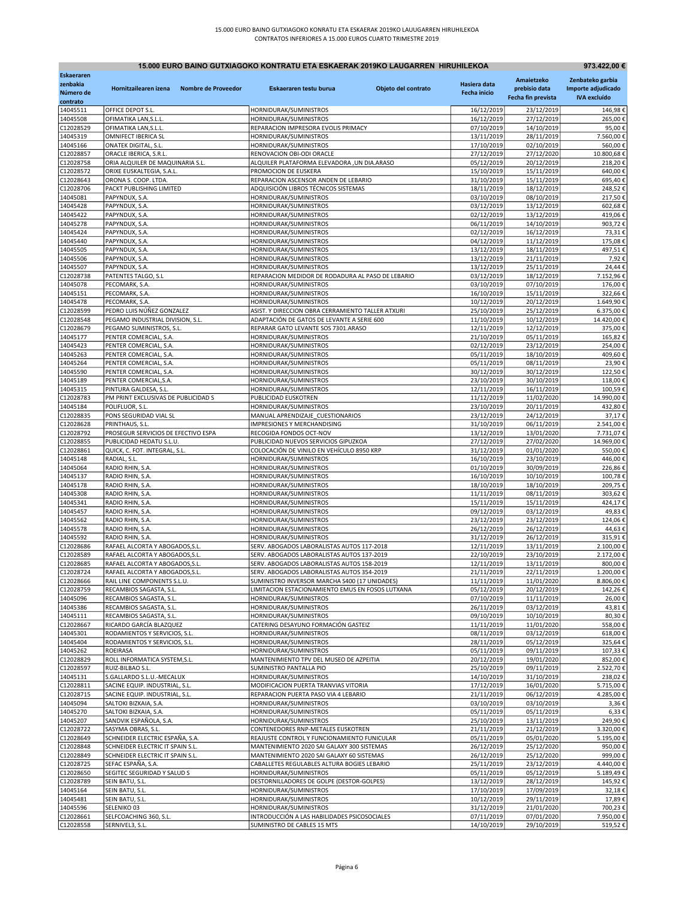| 15.000 EURO BAINO GUTXIAGOKO KONTRATU ETA ESKAERAK 2019KO LAUGARREN HIRUHILEKOA<br>973.422,00 € |                                                                |                     |                                                                                             |                     |                          |                          |                        |
|-------------------------------------------------------------------------------------------------|----------------------------------------------------------------|---------------------|---------------------------------------------------------------------------------------------|---------------------|--------------------------|--------------------------|------------------------|
| <b>Eskaeraren</b>                                                                               |                                                                |                     |                                                                                             |                     |                          | Amaietzeko               | Zenbateko garbia       |
| zenbakia                                                                                        | Hornitzailearen izena                                          | Nombre de Proveedor | Eskaeraren testu burua                                                                      | Objeto del contrato | Hasiera data             | prebisio data            | Importe adjudicado     |
| Número de<br>contrato                                                                           |                                                                |                     |                                                                                             |                     | Fecha inicio             | Fecha fin prevista       | <b>IVA</b> excluído    |
| 14045511                                                                                        | OFFICE DEPOT S.L.                                              |                     | HORNIDURAK/SUMINISTROS                                                                      |                     | 16/12/2019               | 23/12/2019               | 146,98€                |
| 14045508                                                                                        | OFIMATIKA LAN, S.L.L.                                          |                     | HORNIDURAK/SUMINISTROS                                                                      |                     | 16/12/2019               | 27/12/2019               | 265,00€                |
| C12028529                                                                                       | OFIMATIKA LAN, S.L.L.                                          |                     | REPARACION IMPRESORA EVOLIS PRIMACY                                                         |                     | 07/10/2019               | 14/10/2019               | 95,00€                 |
| 14045319<br>14045166                                                                            | OMNIFECT IBERICA SL<br>ONATEK DIGITAL, S.L.                    |                     | HORNIDURAK/SUMINISTROS<br>HORNIDURAK/SUMINISTROS                                            |                     | 13/11/2019<br>17/10/2019 | 28/11/2019<br>02/10/2019 | 7.560,00€<br>560,00€   |
| C12028857                                                                                       | ORACLE IBERICA, S.R.L.                                         |                     | RENOVACION OBI-ODI ORACLE                                                                   |                     | 27/12/2019               | 27/12/2020               | 10.800,68€             |
| C12028758                                                                                       | ORIA ALQUILER DE MAQUINARIA S.L.                               |                     | ALQUILER PLATAFORMA ELEVADORA ,UN DIA.ARASO                                                 |                     | 05/12/2019               | 20/12/2019               | 218,20€                |
| C12028572                                                                                       | ORIXE EUSKALTEGIA, S.A.L.                                      |                     | PROMOCION DE EUSKERA                                                                        |                     | 15/10/2019               | 15/11/2019               | 640,00€                |
| C12028643<br>C12028706                                                                          | ORONA S. COOP. LTDA.<br>PACKT PUBLISHING LIMITED               |                     | REPARACION ASCENSOR ANDEN DE LEBARIO<br>ADQUISICIÓN LIBROS TÉCNICOS SISTEMAS                |                     | 31/10/2019<br>18/11/2019 | 15/11/2019<br>18/12/2019 | 695,40€<br>248,52€     |
| 14045081                                                                                        | PAPYNDUX, S.A.                                                 |                     | HORNIDURAK/SUMINISTROS                                                                      |                     | 03/10/2019               | 08/10/2019               | 217,50€                |
| 14045428                                                                                        | PAPYNDUX, S.A.                                                 |                     | HORNIDURAK/SUMINISTROS                                                                      |                     | 03/12/2019               | 13/12/2019               | 602,68€                |
| 14045422                                                                                        | PAPYNDUX, S.A.                                                 |                     | HORNIDURAK/SUMINISTROS                                                                      |                     | 02/12/2019               | 13/12/2019               | 419,06€                |
| 14045278                                                                                        | PAPYNDUX, S.A.                                                 |                     | HORNIDURAK/SUMINISTROS                                                                      |                     | 06/11/2019               | 14/10/2019               | 903,72€                |
| 14045424<br>14045440                                                                            | PAPYNDUX, S.A.<br>PAPYNDUX, S.A.                               |                     | HORNIDURAK/SUMINISTROS<br>HORNIDURAK/SUMINISTROS                                            |                     | 02/12/2019<br>04/12/2019 | 16/12/2019               | 73,31€<br>175,08€      |
| 14045505                                                                                        | PAPYNDUX, S.A.                                                 |                     | HORNIDURAK/SUMINISTROS                                                                      |                     | 13/12/2019               | 11/12/2019<br>18/11/2019 | 497,51€                |
| 14045506                                                                                        | PAPYNDUX, S.A.                                                 |                     | HORNIDURAK/SUMINISTROS                                                                      |                     | 13/12/2019               | 21/11/2019               | 7,92€                  |
| 14045507                                                                                        | PAPYNDUX, S.A.                                                 |                     | HORNIDURAK/SUMINISTROS                                                                      |                     | 13/12/2019               | 25/11/2019               | 24,44€                 |
| C12028738                                                                                       | PATENTES TALGO, S.L                                            |                     | REPARACION MEDIDOR DE RODADURA AL PASO DE LEBARIO                                           |                     | 03/12/2019               | 18/12/2019               | 7.152,96€              |
| 14045078                                                                                        | PECOMARK, S.A.                                                 |                     | HORNIDURAK/SUMINISTROS                                                                      |                     | 03/10/2019               | 07/10/2019               | 176,00€                |
| 14045151<br>14045478                                                                            | PECOMARK, S.A.<br>PECOMARK, S.A.                               |                     | HORNIDURAK/SUMINISTROS<br>HORNIDURAK/SUMINISTROS                                            |                     | 16/10/2019<br>10/12/2019 | 15/11/2019<br>20/12/2019 | 322,66€<br>1.649,90€   |
| C12028599                                                                                       | PEDRO LUIS NÚÑEZ GONZALEZ                                      |                     | ASIST. Y DIRECCION OBRA CERRAMIENTO TALLER ATXURI                                           |                     | 25/10/2019               | 25/12/2019               | 6.375,00€              |
| C12028548                                                                                       | PEGAMO INDUSTRIAL DIVISION, S.L.                               |                     | ADAPTACIÓN DE GATOS DE LEVANTE A SERIE 600                                                  |                     | 11/10/2019               | 10/12/2019               | 14.420,00€             |
| C12028679                                                                                       | PEGAMO SUMINISTROS, S.L                                        |                     | REPARAR GATO LEVANTE SOS 7301.ARASO                                                         |                     | 12/11/2019               | 12/12/2019               | 375,00€                |
| 14045177                                                                                        | PENTER COMERCIAL, S.A.                                         |                     | HORNIDURAK/SUMINISTROS                                                                      |                     | 21/10/2019               | 05/11/2019               | 165,82€                |
| 14045423<br>14045263                                                                            | PENTER COMERCIAL, S.A.<br>PENTER COMERCIAL, S.A.               |                     | HORNIDURAK/SUMINISTROS<br>HORNIDURAK/SUMINISTROS                                            |                     | 02/12/2019<br>05/11/2019 | 23/12/2019<br>18/10/2019 | 254,00€<br>409,60€     |
| 14045264                                                                                        | PENTER COMERCIAL, S.A.                                         |                     | HORNIDURAK/SUMINISTROS                                                                      |                     | 05/11/2019               | 08/11/2019               | 23,90€                 |
| 14045590                                                                                        | PENTER COMERCIAL, S.A.                                         |                     | HORNIDURAK/SUMINISTROS                                                                      |                     | 30/12/2019               | 30/12/2019               | 122,50€                |
| 14045189                                                                                        | PENTER COMERCIAL, S.A.                                         |                     | HORNIDURAK/SUMINISTROS                                                                      |                     | 23/10/2019               | 30/10/2019               | 118,00€                |
| 14045315                                                                                        | PINTURA GALDESA, S.L.                                          |                     | HORNIDURAK/SUMINISTROS                                                                      |                     | 12/11/2019               | 16/11/2019               | 100,59€                |
| C12028783                                                                                       | PM PRINT EXCLUSIVAS DE PUBLICIDAD S                            |                     | PUBLICIDAD EUSKOTREN                                                                        |                     | 11/12/2019               | 11/02/2020               | 14.990,00€             |
| 14045184<br>C12028835                                                                           | POLIFLUOR, S.L.<br>PONS SEGURIDAD VIAL SL                      |                     | HORNIDURAK/SUMINISTROS<br>MANUAL APRENDIZAJE CUESTIONARIOS                                  |                     | 23/10/2019<br>23/12/2019 | 20/11/2019<br>24/12/2019 | 432,80€<br>37,17€      |
| C12028628                                                                                       | PRINTHAUS, S.L.                                                |                     | IMPRESIONES Y MERCHANDISING                                                                 |                     | 31/10/2019               | 06/11/2019               | 2.541,00€              |
| C12028792                                                                                       | PROSEGUR SERVICIOS DE EFECTIVO ESPA                            |                     | RECOGIDA FONDOS OCT-NOV                                                                     |                     | 13/12/2019               | 13/01/2020               | 7.731,07€              |
| C12028855                                                                                       | PUBLICIDAD HEDATU S.L.U.                                       |                     | PUBLICIDAD NUEVOS SERVICIOS GIPUZKOA                                                        |                     | 27/12/2019               | 27/02/2020               | 14.969,00€             |
| C12028861                                                                                       | QUICK, C. FOT. INTEGRAL, S.L.                                  |                     | COLOCACIÓN DE VINILO EN VEHÍCULO 8950 KRP                                                   |                     | 31/12/2019               | 01/01/2020               | 550,00€                |
| 14045148<br>14045064                                                                            | RADIAL, S.L.<br>RADIO RHIN, S.A.                               |                     | HORNIDURAK/SUMINISTROS<br>HORNIDURAK/SUMINISTROS                                            |                     | 16/10/2019<br>01/10/2019 | 23/10/2019<br>30/09/2019 | 446,00€<br>226,86€     |
| 14045137                                                                                        | RADIO RHIN, S.A.                                               |                     | HORNIDURAK/SUMINISTROS                                                                      |                     | 16/10/2019               | 10/10/2019               | 100,78€                |
| 14045178                                                                                        | RADIO RHIN, S.A.                                               |                     | HORNIDURAK/SUMINISTROS                                                                      |                     | 18/10/2019               | 18/10/2019               | 209,75€                |
| 14045308                                                                                        | RADIO RHIN, S.A.                                               |                     | HORNIDURAK/SUMINISTROS                                                                      |                     | 11/11/2019               | 08/11/2019               | 303,62€                |
| 14045341                                                                                        | RADIO RHIN, S.A.                                               |                     | HORNIDURAK/SUMINISTROS                                                                      |                     | 15/11/2019               | 15/11/2019               | 424,17€                |
| 14045457<br>14045562                                                                            | RADIO RHIN, S.A.<br>RADIO RHIN, S.A.                           |                     | HORNIDURAK/SUMINISTROS<br>HORNIDURAK/SUMINISTROS                                            |                     | 09/12/2019<br>23/12/2019 | 03/12/2019<br>23/12/2019 | 49,83€<br>124,06€      |
| 14045578                                                                                        | RADIO RHIN, S.A.                                               |                     | HORNIDURAK/SUMINISTROS                                                                      |                     | 26/12/2019               | 26/12/2019               | 44,63€                 |
| 14045592                                                                                        | RADIO RHIN, S.A.                                               |                     | HORNIDURAK/SUMINISTROS                                                                      |                     | 31/12/2019               | 26/12/2019               | 315,91€                |
| C12028686                                                                                       | RAFAEL ALCORTA Y ABOGADOS, S.L                                 |                     | SERV. ABOGADOS LABORALISTAS AUTOS 117-2018                                                  |                     | 12/11/2019               | 13/11/2019               | 2.100,00€              |
| C12028589                                                                                       | RAFAEL ALCORTA Y ABOGADOS, S.L.                                |                     | SERV. ABOGADOS LABORALISTAS AUTOS 137-2019                                                  |                     | 22/10/2019               | 23/10/2019               | 2.172,00€              |
| C12028685                                                                                       | RAFAEL ALCORTA Y ABOGADOS, S.L.                                |                     | SERV. ABOGADOS LABORALISTAS AUTOS 158-2019                                                  |                     | 12/11/2019               | 13/11/2019               | 800,00€                |
| C12028724<br>C12028666                                                                          | RAFAEL ALCORTA Y ABOGADOS, S.L.<br>RAIL LINE COMPONENTS S.L.U. |                     | SERV. ABOGADOS LABORALISTAS AUTOS 354-2019<br>SUMINISTRO INVERSOR MARCHA S400 (17 UNIDADES) |                     | 21/11/2019<br>11/11/2019 | 22/11/2019<br>11/01/2020 | 1.200,00€<br>8.806,00€ |
| C12028759                                                                                       | RECAMBIOS SAGASTA, S.L.                                        |                     | LIMITACION ESTACIONAMIENTO EMUS EN FOSOS LUTXANA                                            |                     | 05/12/2019               | 20/12/2019               | 142,26€                |
| 14045096                                                                                        | RECAMBIOS SAGASTA, S.L.                                        |                     | HORNIDURAK/SUMINISTROS                                                                      |                     | 07/10/2019               | 11/11/2019               | 26,00€                 |
| 14045386                                                                                        | RECAMBIOS SAGASTA, S.L.                                        |                     | HORNIDURAK/SUMINISTROS                                                                      |                     | 26/11/2019               | 03/12/2019               | 43,81€                 |
| 14045111<br>C12028667                                                                           | RECAMBIOS SAGASTA, S.L.<br>RICARDO GARCÍA BLAZQUEZ             |                     | HORNIDURAK/SUMINISTROS<br>CATERING DESAYUNO FORMACIÓN GASTEIZ                               |                     | 09/10/2019<br>11/11/2019 | 10/10/2019<br>11/01/2020 | 80,30€<br>558,00€      |
| 14045301                                                                                        | RODAMIENTOS Y SERVICIOS, S.L.                                  |                     | HORNIDURAK/SUMINISTROS                                                                      |                     | 08/11/2019               | 03/12/2019               | 618,00€                |
| 14045404                                                                                        | RODAMIENTOS Y SERVICIOS, S.L.                                  |                     | HORNIDURAK/SUMINISTROS                                                                      |                     | 28/11/2019               | 05/12/2019               | 325,64€                |
| 14045262                                                                                        | ROEIRASA                                                       |                     | HORNIDURAK/SUMINISTROS                                                                      |                     | 05/11/2019               | 09/11/2019               | 107,33€                |
| C12028829                                                                                       | ROLL INFORMATICA SYSTEM, S.L.                                  |                     | MANTENIMIENTO TPV DEL MUSEO DE AZPEITIA                                                     |                     | 20/12/2019               | 19/01/2020               | 852,00€                |
| C12028597                                                                                       | RUIZ-BILBAO S.L.                                               |                     | SUMINISTRO PANTALLA PIO<br>HORNIDURAK/SUMINISTROS                                           |                     | 25/10/2019               | 09/11/2019               | 2.522,70€              |
| 14045131<br>C12028811                                                                           | S.GALLARDO S.L.U.-MECALUX<br>SACINE EQUIP. INDUSTRIAL, S.L.    |                     | MODIFICACION PUERTA TRANVIAS VITORIA                                                        |                     | 14/10/2019<br>17/12/2019 | 31/10/2019<br>16/01/2020 | 238,02€<br>5.715,00€   |
| C12028715                                                                                       | SACINE EQUIP. INDUSTRIAL, S.L.                                 |                     | REPARACION PUERTA PASO VIA 4 LEBARIO                                                        |                     | 21/11/2019               | 06/12/2019               | 4.285,00€              |
| 14045094                                                                                        | SALTOKI BIZKAIA, S.A.                                          |                     | HORNIDURAK/SUMINISTROS                                                                      |                     | 03/10/2019               | 03/10/2019               | 3,36€                  |
| 14045270                                                                                        | SALTOKI BIZKAIA, S.A.                                          |                     | HORNIDURAK/SUMINISTROS                                                                      |                     | 05/11/2019               | 05/11/2019               | 6,33€                  |
| 14045207                                                                                        | SANDVIK ESPAÑOLA, S.A.                                         |                     | HORNIDURAK/SUMINISTROS                                                                      |                     | 25/10/2019               | 13/11/2019               | 249,90€                |
| C12028722<br>C12028649                                                                          | SASYMA OBRAS, S.L.<br>SCHNEIDER ELECTRIC ESPAÑA, S.A.          |                     | CONTENEDORES RNP-METALES EUSKOTREN<br>REAJUSTE CONTROL Y FUNCIONAMIENTO FUNICULAR           |                     | 21/11/2019<br>05/11/2019 | 21/12/2019<br>05/01/2020 | 3.320,00€<br>5.195,00€ |
| C12028848                                                                                       | SCHNEIDER ELECTRIC IT SPAIN S.L.                               |                     | MANTENIMIENTO 2020 SAI GALAXY 300 SISTEMAS                                                  |                     | 26/12/2019               | 25/12/2020               | 950,00€                |
| C12028849                                                                                       | SCHNEIDER ELECTRIC IT SPAIN S.L.                               |                     | MANTENIMIENTO 2020 SAI GALAXY 60 SISTEMAS                                                   |                     | 26/12/2019               | 25/12/2020               | 999,00€                |
| C12028725                                                                                       | SEFAC ESPAÑA, S.A.                                             |                     | CABALLETES REGULABLES ALTURA BOGIES LEBARIO                                                 |                     | 25/11/2019               | 23/12/2019               | 4.440,00€              |
| C12028650                                                                                       | SEGITEC SEGURIDAD Y SALUD S                                    |                     | HORNIDURAK/SUMINISTROS                                                                      |                     | 05/11/2019               | 05/12/2019               | 5.189,49€              |
| C12028789<br>14045164                                                                           | SEIN BATU, S.L.<br>SEIN BATU, S.L.                             |                     | DESTORNILLADORES DE GOLPE (DESTOR-GOLPES)<br>HORNIDURAK/SUMINISTROS                         |                     | 13/12/2019<br>17/10/2019 | 28/12/2019<br>17/09/2019 | 145,92€<br>32,18€      |
| 14045481                                                                                        | SEIN BATU, S.L.                                                |                     | HORNIDURAK/SUMINISTROS                                                                      |                     | 10/12/2019               | 29/11/2019               | 17,89€                 |
| 14045596                                                                                        | SELENIKO 03                                                    |                     | HORNIDURAK/SUMINISTROS                                                                      |                     | 31/12/2019               | 21/01/2020               | 700,23€                |
| C12028661                                                                                       | SELFCOACHING 360, S.L.                                         |                     | INTRODUCCIÓN A LAS HABILIDADES PSICOSOCIALES                                                |                     | 07/11/2019               | 07/01/2020               | 7.950,00€              |
| C12028558                                                                                       | SERNIVEL3, S.L.                                                |                     | SUMINISTRO DE CABLES 15 MTS                                                                 |                     | 14/10/2019               | 29/10/2019               | 519,52€                |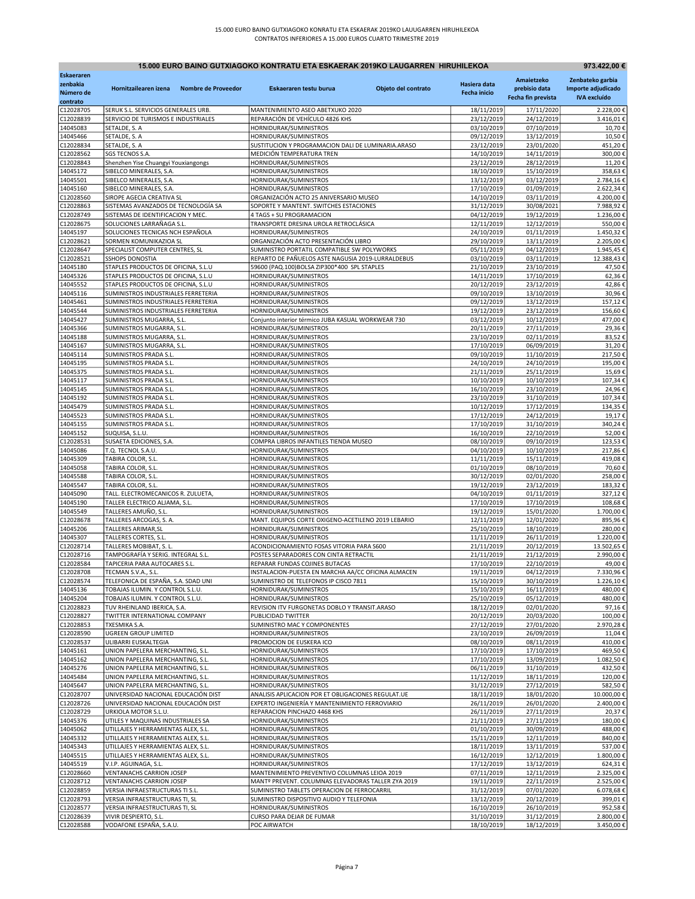| 15.000 EURO BAINO GUTXIAGOKO KONTRATU ETA ESKAERAK 2019KO LAUGARREN HIRUHILEKOA<br>973.422,00 € |                                                                    |                     |                                                                                         |                     |                          |                          |                        |
|-------------------------------------------------------------------------------------------------|--------------------------------------------------------------------|---------------------|-----------------------------------------------------------------------------------------|---------------------|--------------------------|--------------------------|------------------------|
| <b>Eskaeraren</b>                                                                               |                                                                    |                     |                                                                                         |                     |                          | Amaietzeko               | Zenbateko garbia       |
| zenbakia                                                                                        | Hornitzailearen izena                                              | Nombre de Proveedor | Eskaeraren testu burua                                                                  | Objeto del contrato | Hasiera data             | prebisio data            | Importe adjudicado     |
| Número de                                                                                       |                                                                    |                     |                                                                                         |                     | <b>Fecha inicio</b>      | Fecha fin prevista       | <b>IVA</b> excluído    |
| contrato<br>C12028705                                                                           | SERUK S.L. SERVICIOS GENERALES URB.                                |                     | MANTENIMIENTO ASEO ABETXUKO 2020                                                        |                     | 18/11/2019               | 17/11/2020               | 2.228,00€              |
| C12028839                                                                                       | SERVICIO DE TURISMOS E INDUSTRIALES                                |                     | REPARACIÓN DE VEHÍCULO 4826 KHS                                                         |                     | 23/12/2019               | 24/12/2019               | 3.416,01€              |
| 14045083                                                                                        | SETALDE, S. A                                                      |                     | HORNIDURAK/SUMINISTROS                                                                  |                     | 03/10/2019               | 07/10/2019               | 10,70€                 |
| 14045466                                                                                        | SETALDE, S. A                                                      |                     | HORNIDURAK/SUMINISTROS                                                                  |                     | 09/12/2019               | 13/12/2019               | 10,50€                 |
| C12028834                                                                                       | SETALDE, S. A                                                      |                     | SUSTITUCION Y PROGRAMACION DALI DE LUMINARIA.ARASO                                      |                     | 23/12/2019               | 23/01/2020               | 451,20€                |
| C12028562                                                                                       | <b>SGS TECNOS S.A</b>                                              |                     | MEDICIÓN TEMPERATURA TREN                                                               |                     | 14/10/2019               | 14/11/2019               | 300,00€                |
| C12028843                                                                                       | Shenzhen Yise Chuangyi Youxiangongs                                |                     | HORNIDURAK/SUMINISTROS                                                                  |                     | 23/12/2019<br>18/10/2019 | 28/12/2019               | 11,20€                 |
| 14045172<br>14045501                                                                            | SIBELCO MINERALES, S.A.<br>SIBELCO MINERALES, S.A.                 |                     | HORNIDURAK/SUMINISTROS<br>HORNIDURAK/SUMINISTROS                                        |                     | 13/12/2019               | 15/10/2019<br>03/12/2019 | 358,63€<br>2.784,16€   |
| 14045160                                                                                        | SIBELCO MINERALES, S.A.                                            |                     | HORNIDURAK/SUMINISTROS                                                                  |                     | 17/10/2019               | 01/09/2019               | 2.622,34€              |
| C12028560                                                                                       | SIROPE AGECIA CREATIVA SL                                          |                     | ORGANIZACIÓN ACTO 25 ANIVERSARIO MUSEO                                                  |                     | 14/10/2019               | 03/11/2019               | 4.200,00€              |
| C12028863                                                                                       | SISTEMAS AVANZADOS DE TECNOLOGÍA SA                                |                     | SOPORTE Y MANTENT. SWITCHES ESTACIONES                                                  |                     | 31/12/2019               | 30/08/2021               | 7.988,92€              |
| C12028749                                                                                       | SISTEMAS DE IDENTIFICACION Y MEC.                                  |                     | 4 TAGS + SU PROGRAMACION                                                                |                     | 04/12/2019               | 19/12/2019               | 1.236,00€              |
| C12028675                                                                                       | SOLUCIONES LARRAÑAGA S.L                                           |                     | TRANSPORTE DRESINA UROLA RETROCLÁSICA                                                   |                     | 12/11/2019               | 12/12/2019               | 550,00€                |
| 14045197                                                                                        | SOLUCIONES TECNICAS NCH ESPAÑOLA                                   |                     | HORNIDURAK/SUMINISTROS                                                                  |                     | 24/10/2019               | 01/11/2019               | 1.450,32€              |
| C12028621<br>C12028647                                                                          | SORMEN KOMUNIKAZIOA SL<br>SPECIALIST COMPUTER CENTRES, SL          |                     | ORGANIZACIÓN ACTO PRESENTACIÓN LIBRO<br>SUMINISTRO PORTATIL COMPATIBLE SW POLYWORKS     |                     | 29/10/2019<br>05/11/2019 | 13/11/2019<br>04/12/2019 | 2.205,00€<br>1.945,45€ |
| C12028521                                                                                       | <b>SSHOPS DONOSTIA</b>                                             |                     | REPARTO DE PAÑUELOS ASTE NAGUSIA 2019-LURRALDEBUS                                       |                     | 03/10/2019               | 03/11/2019               | 12.388,43€             |
| 14045180                                                                                        | STAPLES PRODUCTOS DE OFICINA, S.L.U                                |                     | 59600 (PAQ.100)BOLSA ZIP300*400 SPL STAPLES                                             |                     | 21/10/2019               | 23/10/2019               | 47,50€                 |
| 14045326                                                                                        | STAPLES PRODUCTOS DE OFICINA, S.L.U                                |                     | HORNIDURAK/SUMINISTROS                                                                  |                     | 14/11/2019               | 17/10/2019               | 62,36€                 |
| 14045552                                                                                        | STAPLES PRODUCTOS DE OFICINA, S.L.U                                |                     | HORNIDURAK/SUMINISTROS                                                                  |                     | 20/12/2019               | 23/12/2019               | 42,86€                 |
| 14045116                                                                                        | SUMINISTROS INDUSTRIALES FERRETERIA                                |                     | HORNIDURAK/SUMINISTROS                                                                  |                     | 09/10/2019               | 13/10/2019               | 30,96€                 |
| 14045461                                                                                        | SUMINISTROS INDUSTRIALES FERRETERIA                                |                     | HORNIDURAK/SUMINISTROS                                                                  |                     | 09/12/2019               | 13/12/2019               | 157,12€                |
| 14045544                                                                                        | SUMINISTROS INDUSTRIALES FERRETERIA                                |                     | HORNIDURAK/SUMINISTROS                                                                  |                     | 19/12/2019               | 23/12/2019               | 156,60€                |
| 14045427<br>14045366                                                                            | SUMINISTROS MUGARRA, S.L<br>SUMINISTROS MUGARRA, S.L.              |                     | Conjunto interior térmico JUBA KASUAL WORKWEAR 730<br>HORNIDURAK/SUMINISTROS            |                     | 03/12/2019<br>20/11/2019 | 10/12/2019<br>27/11/2019 | 477,00€<br>29,36€      |
| 14045188                                                                                        | SUMINISTROS MUGARRA, S.L.                                          |                     | HORNIDURAK/SUMINISTROS                                                                  |                     | 23/10/2019               | 02/11/2019               | 83,52€                 |
| 14045167                                                                                        | SUMINISTROS MUGARRA, S.L.                                          |                     | HORNIDURAK/SUMINISTROS                                                                  |                     | 17/10/2019               | 06/09/2019               | 31,20€                 |
| 14045114                                                                                        | SUMINISTROS PRADA S.L.                                             |                     | HORNIDURAK/SUMINISTROS                                                                  |                     | 09/10/2019               | 11/10/2019               | 217,50€                |
| 14045195                                                                                        | SUMINISTROS PRADA S.L.                                             |                     | HORNIDURAK/SUMINISTROS                                                                  |                     | 24/10/2019               | 24/10/2019               | 195,00€                |
| 14045375                                                                                        | SUMINISTROS PRADA S.L.                                             |                     | HORNIDURAK/SUMINISTROS                                                                  |                     | 21/11/2019               | 25/11/2019               | 15,69€                 |
| 14045117                                                                                        | SUMINISTROS PRADA S.L                                              |                     | HORNIDURAK/SUMINISTROS                                                                  |                     | 10/10/2019               | 10/10/2019               | 107,34€                |
| 14045145                                                                                        | SUMINISTROS PRADA S.L.                                             |                     | HORNIDURAK/SUMINISTROS                                                                  |                     | 16/10/2019               | 23/10/2019               | 24,96€                 |
| 14045192<br>14045479                                                                            | SUMINISTROS PRADA S.L.<br>SUMINISTROS PRADA S.L.                   |                     | HORNIDURAK/SUMINISTROS<br>HORNIDURAK/SUMINISTROS                                        |                     | 23/10/2019<br>10/12/2019 | 31/10/2019<br>17/12/2019 | 107,34€                |
| 14045523                                                                                        | SUMINISTROS PRADA S.L                                              |                     | HORNIDURAK/SUMINISTROS                                                                  |                     | 17/12/2019               | 24/12/2019               | 134,35€<br>19,17€      |
| 14045155                                                                                        | SUMINISTROS PRADA S.L.                                             |                     | HORNIDURAK/SUMINISTROS                                                                  |                     | 17/10/2019               | 31/10/2019               | 340,24€                |
| 14045152                                                                                        | SUQUISA, S.L.U.                                                    |                     | HORNIDURAK/SUMINISTROS                                                                  |                     | 16/10/2019               | 22/10/2019               | 52,00€                 |
| C12028531                                                                                       | SUSAETA EDICIONES, S.A.                                            |                     | COMPRA LIBROS INFANTILES TIENDA MUSEO                                                   |                     | 08/10/2019               | 09/10/2019               | 123,53€                |
| 14045086                                                                                        | T.Q. TECNOL S.A.U.                                                 |                     | HORNIDURAK/SUMINISTROS                                                                  |                     | 04/10/2019               | 10/10/2019               | 217,86€                |
| 14045309                                                                                        | TABIRA COLOR, S.L                                                  |                     | HORNIDURAK/SUMINISTROS                                                                  |                     | 11/11/2019               | 15/11/2019               | 419,08€                |
| 14045058                                                                                        | TABIRA COLOR, S.L.                                                 |                     | HORNIDURAK/SUMINISTROS                                                                  |                     | 01/10/2019               | 08/10/2019               | 70,60€                 |
| 14045588<br>14045547                                                                            | TABIRA COLOR, S.L.<br>TABIRA COLOR, S.L.                           |                     | HORNIDURAK/SUMINISTROS<br>HORNIDURAK/SUMINISTROS                                        |                     | 30/12/2019<br>19/12/2019 | 02/01/2020<br>23/12/2019 | 258,00€<br>183,32€     |
| 14045090                                                                                        | TALL. ELECTROMECANICOS R. ZULUETA                                  |                     | HORNIDURAK/SUMINISTROS                                                                  |                     | 04/10/2019               | 01/11/2019               | 327,12€                |
| 14045190                                                                                        | TALLER ELECTRICO ALJAMA, S.L.                                      |                     | HORNIDURAK/SUMINISTROS                                                                  |                     | 17/10/2019               | 17/10/2019               | 108,68€                |
| 14045549                                                                                        | TALLERES AMUÑO, S.L.                                               |                     | HORNIDURAK/SUMINISTROS                                                                  |                     | 19/12/2019               | 15/01/2020               | 1.700,00€              |
| C12028678                                                                                       | TALLERES ARCOGAS, S. A.                                            |                     | MANT. EQUIPOS CORTE OXIGENO-ACETILENO 2019 LEBARIO                                      |                     | 12/11/2019               | 12/01/2020               | 895,96€                |
| 14045206                                                                                        | TALLERES ARIMAR, SL                                                |                     | HORNIDURAK/SUMINISTROS                                                                  |                     | 25/10/2019               | 18/10/2019               | 280,00€                |
| 14045307                                                                                        | TALLERES CORTES, S.L                                               |                     | HORNIDURAK/SUMINISTROS                                                                  |                     | 11/11/2019               | 26/11/2019               | 1.220,00€              |
| C12028714                                                                                       | TALLERES MOBIBAT, S. L.                                            |                     | ACONDICIONAMIENTO FOSAS VITORIA PARA S600                                               |                     | 21/11/2019               | 20/12/2019               | 13.502,65€             |
| C12028716<br>C12028584                                                                          | TAMPOGRAFÍA Y SERIG. INTEGRAL S.L.<br>TAPICERIA PARA AUTOCARES S.L |                     | POSTES SEPARADORES CON CINTA RETRACTIL<br>REPARAR FUNDAS COJINES BUTACAS                |                     | 21/11/2019<br>17/10/2019 | 21/12/2019<br>22/10/2019 | 2.990,00€<br>49,00€    |
| C12028708                                                                                       | TECMAN S.V.A., S.L.                                                |                     | INSTALACION-PUESTA EN MARCHA AA/CC OFICINA ALMACEN                                      |                     | 19/11/2019               | 04/12/2019               | 7.330,96€              |
| C12028574                                                                                       | TELEFONICA DE ESPAÑA, S.A. SDAD UNI                                |                     | SUMINISTRO DE TELEFONOS IP CISCO 7811                                                   |                     | 15/10/2019               | 30/10/2019               | 1.226,10€              |
| 14045136                                                                                        | TOBAJAS ILUMIN. Y CONTROL S.L.U.                                   |                     | HORNIDURAK/SUMINISTROS                                                                  |                     | 15/10/2019               | 16/11/2019               | 480,00€                |
| 14045204                                                                                        | TOBAJAS ILUMIN. Y CONTROL S.L.U.                                   |                     | HORNIDURAK/SUMINISTROS                                                                  |                     | 25/10/2019               | 05/12/2019               | 480,00€                |
| C12028823                                                                                       | TUV RHEINLAND IBERICA, S.A.                                        |                     | REVISION ITV FURGONETAS DOBLO Y TRANSIT.ARASO                                           |                     | 18/12/2019               | 02/01/2020               | 97,16€                 |
| C12028827                                                                                       | TWITTER INTERNATIONAL COMPANY                                      |                     | PUBLICIDAD TWITTER                                                                      |                     | 20/12/2019               | 20/03/2020               | 100,00€                |
| C12028853<br>C12028590                                                                          | TXESMIKA S.A.<br><b>UGREEN GROUP LIMITED</b>                       |                     | SUMINISTRO MAC Y COMPONENTES<br>HORNIDURAK/SUMINISTROS                                  |                     | 27/12/2019<br>23/10/2019 | 27/01/2020<br>26/09/2019 | 2.970,28€<br>11,04€    |
| C12028537                                                                                       | ULIBARRI EUSKALTEGIA                                               |                     | PROMOCION DE EUSKERA ICO                                                                |                     | 08/10/2019               | 08/11/2019               | 410,00€                |
| 14045161                                                                                        | UNION PAPELERA MERCHANTING, S.L.                                   |                     | HORNIDURAK/SUMINISTROS                                                                  |                     | 17/10/2019               | 17/10/2019               | 469,50€                |
| 14045162                                                                                        | UNION PAPELERA MERCHANTING, S.L.                                   |                     | HORNIDURAK/SUMINISTROS                                                                  |                     | 17/10/2019               | 13/09/2019               | 1.082,50€              |
| 14045276                                                                                        | UNION PAPELERA MERCHANTING, S.L.                                   |                     | HORNIDURAK/SUMINISTROS                                                                  |                     | 06/11/2019               | 31/10/2019               | 432,50€                |
| 14045484                                                                                        | UNION PAPELERA MERCHANTING, S.L.                                   |                     | HORNIDURAK/SUMINISTROS                                                                  |                     | 11/12/2019               | 18/11/2019               | 120,00€                |
| 14045647                                                                                        | UNION PAPELERA MERCHANTING, S.L.                                   |                     | HORNIDURAK/SUMINISTROS                                                                  |                     | 31/12/2019               | 27/12/2019               | 582,50€                |
| C12028707                                                                                       | UNIVERSIDAD NACIONAL EDUCACIÓN DIST                                |                     | ANALISIS APLICACION POR ET OBLIGACIONES REGULAT.UE                                      |                     | 18/11/2019               | 18/01/2020               | 10.000,00€             |
| C12028726                                                                                       | UNIVERSIDAD NACIONAL EDUCACIÓN DIST                                |                     | EXPERTO INGENIERÍA Y MANTENIMIENTO FERROVIARIO                                          |                     | 26/11/2019               | 26/01/2020               | 2.400,00€              |
| C12028729<br>14045376                                                                           | URKIOLA MOTOR S.L.U.<br>UTILES Y MAQUINAS INDUSTRIALES SA          |                     | REPARACION PINCHAZO 4468 KHS<br>HORNIDURAK/SUMINISTROS                                  |                     | 26/11/2019<br>21/11/2019 | 27/11/2019<br>27/11/2019 | 20,37€<br>180,00€      |
| 14045062                                                                                        | UTILLAJES Y HERRAMIENTAS ALEX, S.L.                                |                     | HORNIDURAK/SUMINISTROS                                                                  |                     | 01/10/2019               | 30/09/2019               | 488,00€                |
| 14045332                                                                                        | UTILLAJES Y HERRAMIENTAS ALEX, S.L.                                |                     | HORNIDURAK/SUMINISTROS                                                                  |                     | 15/11/2019               | 12/11/2019               | 840,00€                |
| 14045343                                                                                        | UTILLAJES Y HERRAMIENTAS ALEX, S.L.                                |                     | HORNIDURAK/SUMINISTROS                                                                  |                     | 18/11/2019               | 13/11/2019               | 537,00€                |
| 14045515                                                                                        | UTILLAJES Y HERRAMIENTAS ALEX, S.L.                                |                     | HORNIDURAK/SUMINISTROS                                                                  |                     | 16/12/2019               | 12/12/2019               | 1.800,00€              |
| 14045519                                                                                        | V.I.P. AGUINAGA, S.L.                                              |                     | HORNIDURAK/SUMINISTROS                                                                  |                     | 17/12/2019               | 13/12/2019               | 624,31€                |
| C12028660                                                                                       | VENTANACHS CARRION JOSEP                                           |                     | MANTENIMIENTO PREVENTIVO COLUMNAS LEIOA 2019                                            |                     | 07/11/2019               | 12/11/2019               | 2.325,00€              |
| C12028712                                                                                       | VENTANACHS CARRION JOSEP                                           |                     | MANTº PREVENT. COLUMNAS ELEVADORAS TALLER ZYA 2019                                      |                     | 19/11/2019               | 22/11/2019               | 2.525,00€              |
| C12028859<br>C12028793                                                                          | VERSIA INFRAESTRUCTURAS TI S.L.<br>VERSIA INFRAESTRUCTURAS TI, SL  |                     | SUMINISTRO TABLETS OPERACION DE FERROCARRIL<br>SUMINISTRO DISPOSITIVO AUDIO Y TELEFONIA |                     | 31/12/2019<br>13/12/2019 | 07/01/2020<br>20/12/2019 | 6.078,68€<br>399,01€   |
| C12028577                                                                                       | VERSIA INFRAESTRUCTURAS TI, SL                                     |                     | HORNIDURAK/SUMINISTROS                                                                  |                     | 16/10/2019               | 26/10/2019               | 952,58€                |
| C12028639                                                                                       | VIVIR DESPIERTO, S.L.                                              |                     | CURSO PARA DEJAR DE FUMAR                                                               |                     | 31/10/2019               | 31/12/2019               | 2.800,00€              |
| C12028588                                                                                       | VODAFONE ESPAÑA, S.A.U.                                            |                     | POC AIRWATCH                                                                            |                     | 18/10/2019               | 18/12/2019               | 3.450,00€              |